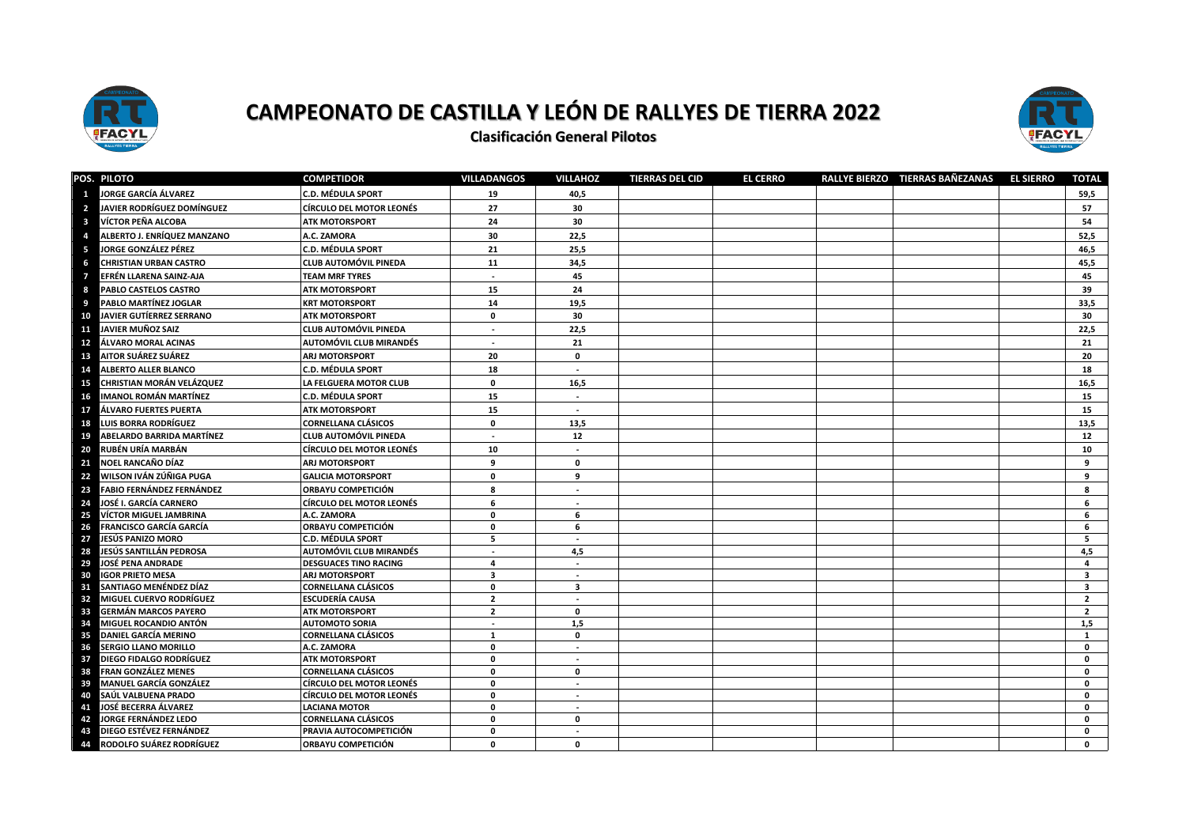



**Clasificación General Pilotos** 

|                         | POS. PILOTO                                                | <b>COMPETIDOR</b>                                    | <b>VILLADANGOS</b>           | <b>VILLAHOZ</b>          | <b>TIERRAS DEL CID</b> | <b>EL CERRO</b> | RALLYE BIERZO TIERRAS BAÑEZANAS | <b>EL SIERRO</b> | <b>TOTAL</b>                                       |
|-------------------------|------------------------------------------------------------|------------------------------------------------------|------------------------------|--------------------------|------------------------|-----------------|---------------------------------|------------------|----------------------------------------------------|
|                         | <b>JORGE GARCÍA ÁLVAREZ</b>                                | <b>C.D. MÉDULA SPORT</b>                             | 19                           | 40,5                     |                        |                 |                                 |                  | 59,5                                               |
| $\overline{\mathbf{2}}$ | <b>JAVIER RODRÍGUEZ DOMÍNGUEZ</b>                          | <b>CÍRCULO DEL MOTOR LEONÉS</b>                      | 27                           | 30                       |                        |                 |                                 |                  | 57                                                 |
| $\overline{\mathbf{3}}$ | VÍCTOR PEÑA ALCOBA                                         | <b>ATK MOTORSPORT</b>                                | 24                           | 30                       |                        |                 |                                 |                  | 54                                                 |
|                         | ALBERTO J. ENRÍQUEZ MANZANO                                | A.C. ZAMORA                                          | 30                           | 22,5                     |                        |                 |                                 |                  | 52,5                                               |
| -5                      | JORGE GONZÁLEZ PÉREZ                                       | <b>C.D. MÉDULA SPORT</b>                             | 21                           | 25,5                     |                        |                 |                                 |                  | 46,5                                               |
| 6                       | <b>CHRISTIAN URBAN CASTRO</b>                              | <b>CLUB AUTOMÓVIL PINEDA</b>                         | 11                           | 34,5                     |                        |                 |                                 |                  | 45,5                                               |
| $\mathcal I$            | EFRÉN LLARENA SAINZ-AJA                                    | <b>TEAM MRF TYRES</b>                                | $\sim$                       | 45                       |                        |                 |                                 |                  | 45                                                 |
| -8                      | PABLO CASTELOS CASTRO                                      | <b>ATK MOTORSPORT</b>                                | 15                           | 24                       |                        |                 |                                 |                  | 39                                                 |
| -9                      | <b>PABLO MARTÍNEZ JOGLAR</b>                               | <b>KRT MOTORSPORT</b>                                | 14                           | 19.5                     |                        |                 |                                 |                  | 33.5                                               |
| 10                      | <b>JAVIER GUTÍERREZ SERRANO</b>                            | <b>ATK MOTORSPORT</b>                                | $\mathbf{0}$                 | 30                       |                        |                 |                                 |                  | 30                                                 |
| 11                      | JAVIER MUÑOZ SAIZ                                          | <b>CLUB AUTOMÓVIL PINEDA</b>                         | $\sim$                       | 22,5                     |                        |                 |                                 |                  | 22,5                                               |
| 12                      | ÁLVARO MORAL ACINAS                                        | <b>AUTOMÓVIL CLUB MIRANDÉS</b>                       | $\sim$                       | 21                       |                        |                 |                                 |                  | 21                                                 |
| 13                      | AITOR SUÁREZ SUÁREZ                                        | <b>ARJ MOTORSPORT</b>                                | 20                           | $\mathbf 0$              |                        |                 |                                 |                  | 20                                                 |
| 14                      | <b>ALBERTO ALLER BLANCO</b>                                | C.D. MÉDULA SPORT                                    | 18                           | $\sim$                   |                        |                 |                                 |                  | 18                                                 |
| 15                      | CHRISTIAN MORÁN VELÁZQUEZ                                  | LA FELGUERA MOTOR CLUB                               | $\mathbf 0$                  | 16,5                     |                        |                 |                                 |                  | 16,5                                               |
| 16                      | <b>IMANOL ROMÁN MARTÍNEZ</b>                               | <b>C.D. MÉDULA SPORT</b>                             | 15                           |                          |                        |                 |                                 |                  | 15                                                 |
| 17                      | ÁLVARO FUERTES PUERTA                                      | <b>ATK MOTORSPORT</b>                                | 15                           |                          |                        |                 |                                 |                  | 15                                                 |
| 18                      | LUIS BORRA RODRÍGUEZ                                       | <b>CORNELLANA CLÁSICOS</b>                           | 0                            | 13,5                     |                        |                 |                                 |                  | 13,5                                               |
| 19                      | ABELARDO BARRIDA MARTÍNEZ                                  | <b>CLUB AUTOMÓVIL PINEDA</b>                         | $\sim$                       | 12                       |                        |                 |                                 |                  | 12                                                 |
| 20                      | RUBÉN URÍA MARBÁN                                          | <b>CÍRCULO DEL MOTOR LEONÉS</b>                      | 10                           |                          |                        |                 |                                 |                  | 10                                                 |
| 21                      | NOEL RANCAÑO DÍAZ                                          | <b>ARJ MOTORSPORT</b>                                | 9                            | $\mathbf 0$              |                        |                 |                                 |                  | 9                                                  |
| 22                      | WILSON IVÁN ZÚÑIGA PUGA                                    | <b>GALICIA MOTORSPORT</b>                            | 0                            | 9                        |                        |                 |                                 |                  | 9                                                  |
| 23                      | <b>FABIO FERNÁNDEZ FERNÁNDEZ</b>                           | <b>ORBAYU COMPETICIÓN</b>                            | R                            |                          |                        |                 |                                 |                  | я                                                  |
| 24                      | JOSÉ I. GARCÍA CARNERO                                     | <b>CÍRCULO DEL MOTOR LEONÉS</b>                      | 6                            |                          |                        |                 |                                 |                  | 6                                                  |
| 25                      | <b>VÍCTOR MIGUEL JAMBRINA</b>                              | A.C. ZAMORA                                          | 0                            | 6                        |                        |                 |                                 |                  | 6                                                  |
| 26                      | <b>FRANCISCO GARCÍA GARCÍA</b>                             | <b>ORBAYU COMPETICIÓN</b>                            | 0                            | 6                        |                        |                 |                                 |                  | 6                                                  |
| 27                      | JESÚS PANIZO MORO                                          | <b>C.D. MÉDULA SPORT</b>                             | 5                            | $\overline{\phantom{a}}$ |                        |                 |                                 |                  | 5                                                  |
| 28                      | JESÚS SANTILLÁN PEDROSA                                    | AUTOMÓVIL CLUB MIRANDÉS                              | $\blacksquare$               | 4,5                      |                        |                 |                                 |                  | 4,5                                                |
| 29                      | <b>JOSÉ PENA ANDRADE</b>                                   | <b>DESGUACES TINO RACING</b>                         | 4                            | $\sim$                   |                        |                 |                                 |                  | $\overline{a}$                                     |
| 30<br>31                | <b>IGOR PRIETO MESA</b>                                    | <b>ARJ MOTORSPORT</b>                                | $\overline{\mathbf{3}}$<br>0 |                          |                        |                 |                                 |                  | $\overline{\mathbf{3}}$<br>$\overline{\mathbf{3}}$ |
| 32                      | SANTIAGO MENÉNDEZ DÍAZ<br><b>MIGUEL CUERVO RODRÍGUEZ</b>   | <b>CORNELLANA CLÁSICOS</b><br><b>ESCUDERÍA CAUSA</b> | $\overline{2}$               | 3                        |                        |                 |                                 |                  | $\overline{2}$                                     |
| 33                      | <b>GERMÁN MARCOS PAYERO</b>                                | <b>ATK MOTORSPORT</b>                                | $\overline{2}$               | 0                        |                        |                 |                                 |                  | $\overline{2}$                                     |
| 34                      | MIGUEL ROCANDIO ANTÓN                                      | <b>AUTOMOTO SORIA</b>                                | $\blacksquare$               | 1,5                      |                        |                 |                                 |                  | 1,5                                                |
| 35                      | <b>DANIEL GARCÍA MERINO</b>                                | <b>CORNELLANA CLÁSICOS</b>                           | 1                            | $\mathbf 0$              |                        |                 |                                 |                  | 1                                                  |
| 36                      | <b>SERGIO LLANO MORILLO</b>                                | A.C. ZAMORA                                          | 0                            | $\sim$                   |                        |                 |                                 |                  | $\Omega$                                           |
| 37                      | DIEGO FIDALGO RODRÍGUEZ                                    | <b>ATK MOTORSPORT</b>                                | 0                            | $\overline{\phantom{a}}$ |                        |                 |                                 |                  | $\Omega$                                           |
| 38                      | <b>FRAN GONZÁLEZ MENES</b>                                 | <b>CORNELLANA CLÁSICOS</b>                           | 0                            | $\mathbf 0$              |                        |                 |                                 |                  | 0                                                  |
| 39                      | <b>MANUEL GARCÍA GONZÁLEZ</b>                              | <b>CÍRCULO DEL MOTOR LEONÉS</b>                      | 0                            | $\overline{\phantom{a}}$ |                        |                 |                                 |                  | 0                                                  |
| 40                      | SAÚL VALBUENA PRADO                                        | <b>CÍRCULO DEL MOTOR LEONÉS</b>                      | $\mathbf{0}$                 |                          |                        |                 |                                 |                  | $\mathbf{0}$                                       |
| 41<br>42                | <b>JOSÉ BECERRA ÁLVAREZ</b><br><b>JORGE FERNÁNDEZ LEDO</b> | <b>LACIANA MOTOR</b><br><b>CORNELLANA CLÁSICOS</b>   | $\mathbf 0$<br>0             | $\sim$<br>$\mathbf 0$    |                        |                 |                                 |                  | 0<br>$\mathbf{0}$                                  |
| 43                      | DIEGO ESTÉVEZ FERNÁNDEZ                                    | <b>PRAVIA AUTOCOMPETICIÓN</b>                        | 0                            | $\sim$                   |                        |                 |                                 |                  | 0                                                  |
|                         | 44 RODOLFO SUÁREZ RODRÍGUEZ                                | <b>ORBAYU COMPETICIÓN</b>                            | 0                            | $\mathbf{0}$             |                        |                 |                                 |                  | $\Omega$                                           |
|                         |                                                            |                                                      |                              |                          |                        |                 |                                 |                  |                                                    |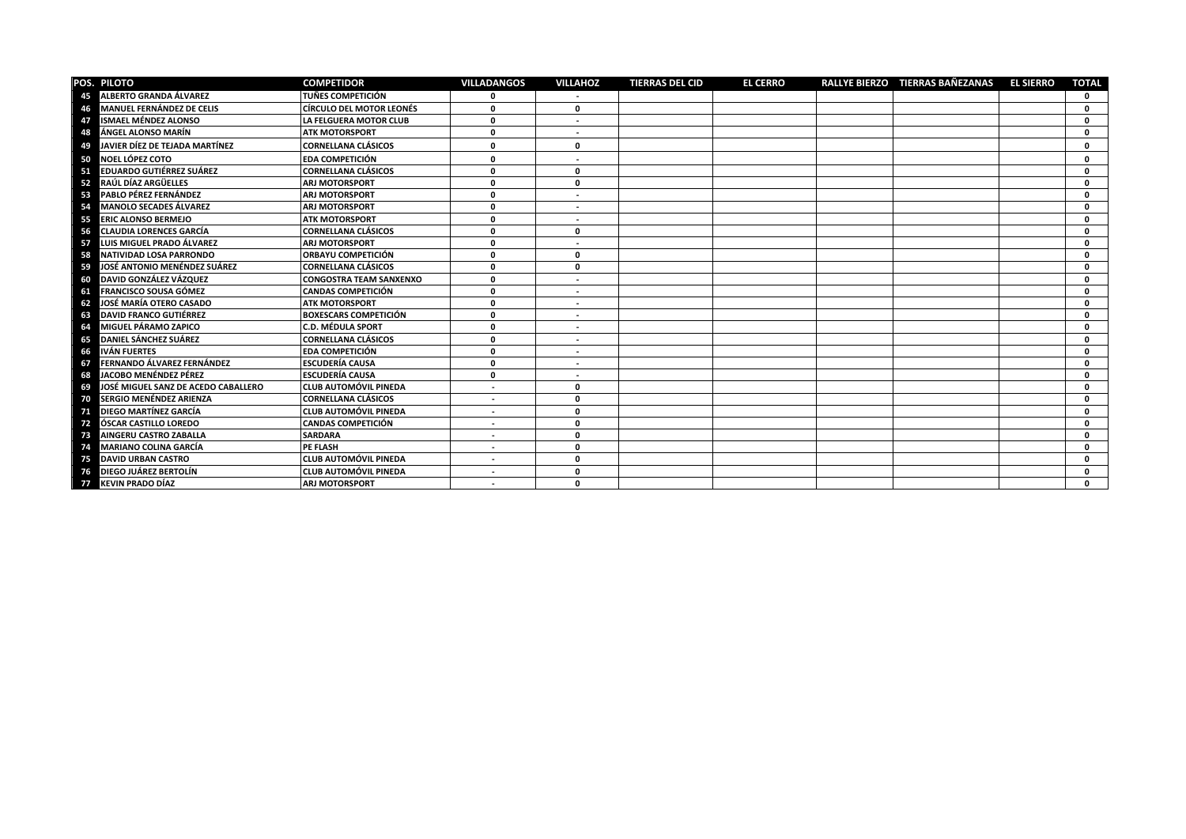|    | POS. PILOTO                         | <b>COMPETIDOR</b>               | <b>VILLADANGOS</b>       | <b>VILLAHOZ</b>          | <b>TIERRAS DEL CID</b> | <b>EL CERRO</b> | RALLYE BIERZO TIERRAS BAÑEZANAS | <b>EL SIERRO</b> | <b>TOTAL</b> |
|----|-------------------------------------|---------------------------------|--------------------------|--------------------------|------------------------|-----------------|---------------------------------|------------------|--------------|
| 45 | <b>ALBERTO GRANDA ÁLVAREZ</b>       | <b>TUÑES COMPETICIÓN</b>        | <sup>0</sup>             |                          |                        |                 |                                 |                  | 0            |
| 46 | <b>MANUEL FERNÁNDEZ DE CELIS</b>    | <b>CÍRCULO DEL MOTOR LEONÉS</b> | 0                        | 0                        |                        |                 |                                 |                  | <sup>0</sup> |
| 47 | <b>ISMAEL MÉNDEZ ALONSO</b>         | LA FELGUERA MOTOR CLUB          | 0                        | $\overline{\phantom{a}}$ |                        |                 |                                 |                  | 0            |
| 48 | ÁNGEL ALONSO MARÍN                  | <b>ATK MOTORSPORT</b>           | 0                        | $\sim$                   |                        |                 |                                 |                  | 0            |
| 49 | JAVIER DÍEZ DE TEJADA MARTÍNEZ      | <b>CORNELLANA CLÁSICOS</b>      | 0                        | $\mathbf{0}$             |                        |                 |                                 |                  | 0            |
| 50 | <b>NOEL LÓPEZ COTO</b>              | <b>EDA COMPETICIÓN</b>          | 0                        |                          |                        |                 |                                 |                  | $\Omega$     |
| 51 | <b>EDUARDO GUTIÉRREZ SUÁREZ</b>     | <b>CORNELLANA CLÁSICOS</b>      | 0                        | 0                        |                        |                 |                                 |                  | 0            |
| 52 | RAÚL DÍAZ ARGÜELLES                 | <b>ARJ MOTORSPORT</b>           | 0                        | 0                        |                        |                 |                                 |                  | 0            |
| 53 | PABLO PÉREZ FERNÁNDEZ               | <b>ARJ MOTORSPORT</b>           | 0                        |                          |                        |                 |                                 |                  | $\Omega$     |
| 54 | <b>MANOLO SECADES ÁLVAREZ</b>       | <b>ARJ MOTORSPORT</b>           | O                        |                          |                        |                 |                                 |                  | $\Omega$     |
| 55 | <b>ERIC ALONSO BERMEJO</b>          | <b>ATK MOTORSPORT</b>           | 0                        | $\overline{\phantom{a}}$ |                        |                 |                                 |                  | $\Omega$     |
| 56 | <b>CLAUDIA LORENCES GARCÍA</b>      | <b>CORNELLANA CLÁSICOS</b>      | 0                        | $\mathbf 0$              |                        |                 |                                 |                  | 0            |
| 57 | LUIS MIGUEL PRADO ÁLVAREZ           | <b>ARJ MOTORSPORT</b>           | 0                        |                          |                        |                 |                                 |                  | <sup>0</sup> |
| 58 | NATIVIDAD LOSA PARRONDO             | <b>ORBAYU COMPETICIÓN</b>       | 0                        | $\mathbf 0$              |                        |                 |                                 |                  | 0            |
| 59 | JOSÉ ANTONIO MENÉNDEZ SUÁREZ        | <b>CORNELLANA CLÁSICOS</b>      | 0                        | $\mathbf{0}$             |                        |                 |                                 |                  | $\Omega$     |
| 60 | DAVID GONZÁLEZ VÁZQUEZ              | <b>CONGOSTRA TEAM SANXENXO</b>  | 0                        | $\overline{\phantom{a}}$ |                        |                 |                                 |                  | $\mathbf{r}$ |
| 61 | <b>FRANCISCO SOUSA GÓMEZ</b>        | <b>CANDAS COMPETICIÓN</b>       | 0                        | $\overline{\phantom{a}}$ |                        |                 |                                 |                  | $\Omega$     |
| 62 | <b>JOSÉ MARÍA OTERO CASADO</b>      | <b>ATK MOTORSPORT</b>           | 0                        | $\sim$                   |                        |                 |                                 |                  | 0            |
| 63 | <b>DAVID FRANCO GUTIÉRREZ</b>       | <b>BOXESCARS COMPETICIÓN</b>    | 0                        | $\overline{\phantom{a}}$ |                        |                 |                                 |                  | 0            |
| 64 | MIGUEL PÁRAMO ZAPICO                | <b>C.D. MÉDULA SPORT</b>        | O                        | $\overline{\phantom{a}}$ |                        |                 |                                 |                  | $\Omega$     |
| 65 | <b>DANIEL SÁNCHEZ SUÁREZ</b>        | <b>CORNELLANA CLÁSICOS</b>      | 0                        | $\overline{\phantom{a}}$ |                        |                 |                                 |                  | $\Omega$     |
| 66 | <b>IVÁN FUERTES</b>                 | <b>EDA COMPETICIÓN</b>          | 0                        | $\sim$                   |                        |                 |                                 |                  | $\Omega$     |
| 67 | FERNANDO ÁLVAREZ FERNÁNDEZ          | <b>ESCUDERÍA CAUSA</b>          | 0                        | $\sim$                   |                        |                 |                                 |                  | 0            |
| 68 | JACOBO MENÉNDEZ PÉREZ               | <b>ESCUDERÍA CAUSA</b>          | 0                        | $\overline{\phantom{a}}$ |                        |                 |                                 |                  | $\Omega$     |
| 69 | JOSÉ MIGUEL SANZ DE ACEDO CABALLERO | <b>CLUB AUTOMÓVIL PINEDA</b>    | $\overline{\phantom{a}}$ | $\mathbf 0$              |                        |                 |                                 |                  | 0            |
| 70 | SERGIO MENÉNDEZ ARIENZA             | <b>CORNELLANA CLÁSICOS</b>      |                          | $\mathbf{0}$             |                        |                 |                                 |                  | $\Omega$     |
| 71 | DIEGO MARTÍNEZ GARCÍA               | <b>CLUB AUTOMÓVIL PINEDA</b>    | $\overline{\phantom{a}}$ | $\mathbf{0}$             |                        |                 |                                 |                  | $\mathbf{r}$ |
| 72 | ÓSCAR CASTILLO LOREDO               | <b>CANDAS COMPETICIÓN</b>       | $\overline{\phantom{a}}$ | $\mathbf 0$              |                        |                 |                                 |                  | <sup>0</sup> |
| 73 | <b>AINGERU CASTRO ZABALLA</b>       | <b>SARDARA</b>                  | $\sim$                   | $\mathbf{0}$             |                        |                 |                                 |                  | 0            |
| 74 | <b>MARIANO COLINA GARCÍA</b>        | PE FLASH                        | $\overline{\phantom{a}}$ | $\mathbf{0}$             |                        |                 |                                 |                  | $\mathbf{0}$ |
| 75 | <b>DAVID URBAN CASTRO</b>           | <b>CLUB AUTOMÓVIL PINEDA</b>    | $\overline{a}$           | $\mathbf{0}$             |                        |                 |                                 |                  | $\Omega$     |
|    | DIEGO JUÁREZ BERTOLÍN               | <b>CLUB AUTOMÓVIL PINEDA</b>    |                          | $\Omega$                 |                        |                 |                                 |                  | <sup>0</sup> |
| 77 | <b>KEVIN PRADO DÍAZ</b>             | <b>ARJ MOTORSPORT</b>           |                          | $\mathbf 0$              |                        |                 |                                 |                  |              |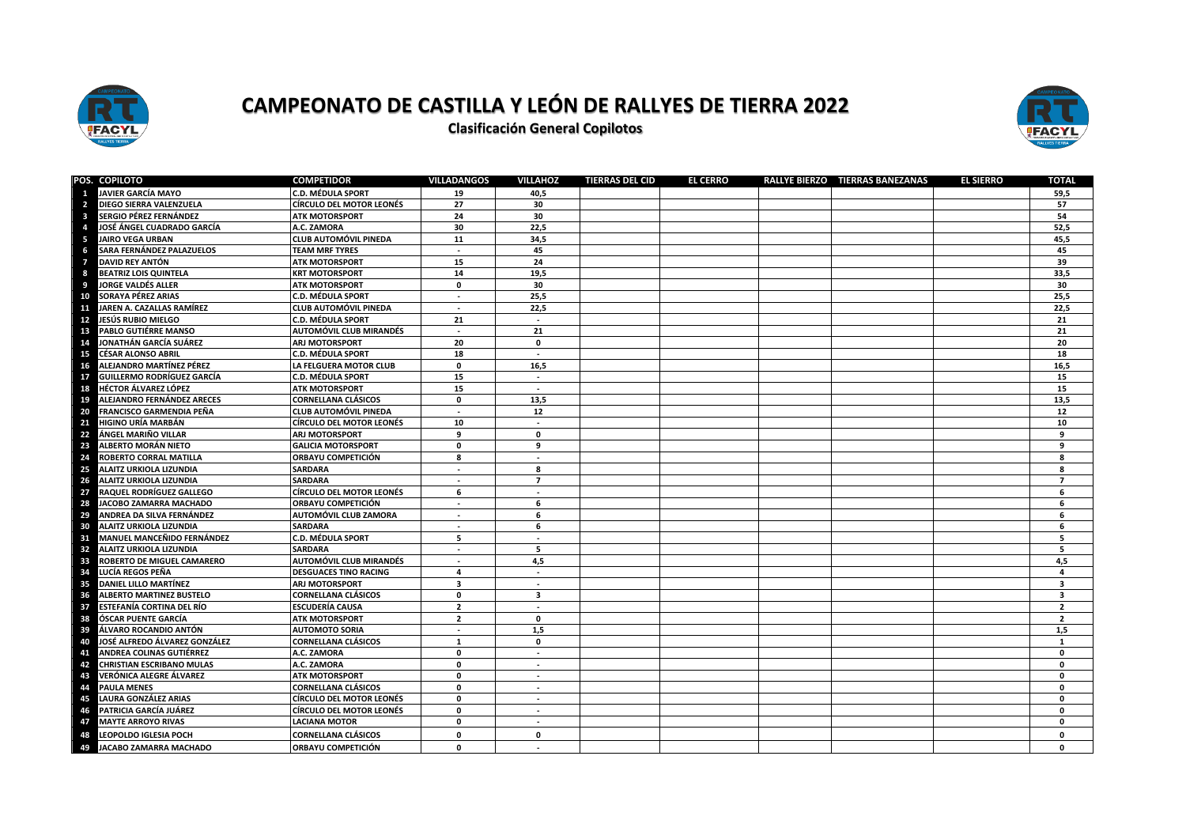

**Clasificación General Copilotos** 



|                  | POS. COPILOTO                     | <b>COMPETIDOR</b>            | <b>VILLADANGOS</b>       | <b>VILLAHOZ</b>          | <b>TIERRAS DEL CID</b> | <b>EL CERRO</b> | RALLYE BIERZO TIERRAS BAÑEZANAS | <b>EL SIERRO</b> | TOTAL                   |
|------------------|-----------------------------------|------------------------------|--------------------------|--------------------------|------------------------|-----------------|---------------------------------|------------------|-------------------------|
| 1                | <b>JAVIER GARCÍA MAYO</b>         | <b>C.D. MÉDULA SPORT</b>     | 19                       | 40,5                     |                        |                 |                                 |                  | 59,5                    |
| $\overline{2}$   | DIEGO SIERRA VALENZUELA           | CÍRCULO DEL MOTOR LEONÉS     | 27                       | 30                       |                        |                 |                                 |                  | 57                      |
| 3                | SERGIO PÉREZ FERNÁNDEZ            | <b>ATK MOTORSPORT</b>        | 24                       | 30                       |                        |                 |                                 |                  | 54                      |
| $\boldsymbol{A}$ | JOSÉ ÁNGEL CUADRADO GARCÍA        | A.C. ZAMORA                  | 30                       | 22,5                     |                        |                 |                                 |                  | 52,5                    |
| -5               | <b>JAIRO VEGA URBAN</b>           | CLUB AUTOMÓVIL PINEDA        | 11                       | 34,5                     |                        |                 |                                 |                  | 45,5                    |
| 6                | SARA FERNÁNDEZ PALAZUELOS         | <b>TEAM MRF TYRES</b>        | $\sim$                   | 45                       |                        |                 |                                 |                  | 45                      |
| 7                | DAVID REY ANTÓN                   | <b>ATK MOTORSPORT</b>        | 15                       | 24                       |                        |                 |                                 |                  | 39                      |
| -8               | <b>BEATRIZ LOIS QUINTELA</b>      | <b>KRT MOTORSPORT</b>        | 14                       | 19,5                     |                        |                 |                                 |                  | 33,5                    |
| 9                | JORGE VALDÉS ALLER                | <b>ATK MOTORSPORT</b>        | 0                        | 30                       |                        |                 |                                 |                  | 30                      |
| 10               | SORAYA PÉREZ ARIAS                | C.D. MÉDULA SPORT            | $\sim$                   | 25,5                     |                        |                 |                                 |                  | 25,5                    |
| 11               | JAREN A. CAZALLAS RAMÍREZ         | CLUB AUTOMÓVIL PINEDA        | $\overline{\phantom{a}}$ | 22,5                     |                        |                 |                                 |                  | 22,5                    |
| 12               | JESÚS RUBIO MIELGO                | C.D. MÉDULA SPORT            | 21                       | $\sim$                   |                        |                 |                                 |                  | 21                      |
| 13               | PABLO GUTIÉRRE MANSO              | AUTOMÓVIL CLUB MIRANDÉS      | $\sim$                   | 21                       |                        |                 |                                 |                  | 21                      |
| 14               | JONATHÁN GARCÍA SUÁREZ            | ARJ MOTORSPORT               | 20                       | $\mathbf 0$              |                        |                 |                                 |                  | 20                      |
| 15               | <b>CÉSAR ALONSO ABRIL</b>         | C.D. MÉDULA SPORT            | 18                       | $\sim$                   |                        |                 |                                 |                  | 18                      |
| 16               | ALEJANDRO MARTÍNEZ PÉREZ          | LA FELGUERA MOTOR CLUB       | $\mathbf 0$              | 16,5                     |                        |                 |                                 |                  | 16,5                    |
| 17               | <b>GUILLERMO RODRÍGUEZ GARCÍA</b> | <b>C.D. MÉDULA SPORT</b>     | 15                       | $\blacksquare$           |                        |                 |                                 |                  | 15                      |
| 18               | <b>HÉCTOR ÁLVAREZ LÓPEZ</b>       | <b>ATK MOTORSPORT</b>        | 15                       | $\sim$                   |                        |                 |                                 |                  | 15                      |
| 19               | ALEJANDRO FERNÁNDEZ ARECES        | <b>CORNELLANA CLÁSICOS</b>   | $\mathbf 0$              | 13,5                     |                        |                 |                                 |                  | 13,5                    |
| 20               | FRANCISCO GARMENDIA PEÑA          | CLUB AUTOMÓVIL PINEDA        | $\sim$                   | 12                       |                        |                 |                                 |                  | 12                      |
| 21               | <b>HIGINO URÍA MARBÁN</b>         | CÍRCULO DEL MOTOR LEONÉS     | 10                       | $\sim$                   |                        |                 |                                 |                  | 10                      |
| 22               | ÁNGEL MARIÑO VILLAR               | ARJ MOTORSPORT               | 9                        | $\mathbf 0$              |                        |                 |                                 |                  | 9                       |
| 23               | ALBERTO MORÁN NIETO               | <b>GALICIA MOTORSPORT</b>    | 0                        | 9                        |                        |                 |                                 |                  | 9                       |
| 24               | ROBERTO CORRAL MATILLA            | ORBAYU COMPETICIÓN           | 8                        | $\sim$                   |                        |                 |                                 |                  | 8                       |
| 25               | ALAITZ URKIOLA LIZUNDIA           | <b>SARDARA</b>               | $\sim$                   | 8                        |                        |                 |                                 |                  | 8                       |
| 26               | ALAITZ URKIOLA LIZUNDIA           | <b>SARDARA</b>               | $\sim$                   | $\overline{7}$           |                        |                 |                                 |                  | $\overline{7}$          |
| 27               | RAQUEL RODRÍGUEZ GALLEGO          | CÍRCULO DEL MOTOR LEONÉS     | 6                        | $\sim$                   |                        |                 |                                 |                  | 6                       |
| 28               | JACOBO ZAMARRA MACHADO            | ORBAYU COMPETICIÓN           | $\sim$                   | 6                        |                        |                 |                                 |                  | 6                       |
| 29               | ANDREA DA SILVA FERNÁNDEZ         | AUTOMÓVIL CLUB ZAMORA        | $\sim$                   | 6                        |                        |                 |                                 |                  | 6                       |
| 30               | ALAITZ URKIOLA LIZUNDIA           | SARDARA                      | $\sim$                   | 6                        |                        |                 |                                 |                  | 6                       |
| 31               | MANUEL MANCEÑIDO FERNÁNDEZ        | C.D. MÉDULA SPORT            | 5                        | $\sim$                   |                        |                 |                                 |                  | 5                       |
| 32               | ALAITZ URKIOLA LIZUNDIA           | <b>SARDARA</b>               | $\sim$                   | 5                        |                        |                 |                                 |                  | 5 <sub>5</sub>          |
| 33               | ROBERTO DE MIGUEL CAMARERO        | AUTOMÓVIL CLUB MIRANDÉS      | $\sim$                   | 4,5                      |                        |                 |                                 |                  | 4,5                     |
| 34               | LUCÍA REGOS PEÑA                  | <b>DESGUACES TINO RACING</b> | $\overline{4}$           | $\sim$                   |                        |                 |                                 |                  | $\overline{a}$          |
| 35               | DANIEL LILLO MARTÍNEZ             | ARJ MOTORSPORT               | $\overline{\mathbf{3}}$  | $\sim$                   |                        |                 |                                 |                  | $\overline{\mathbf{3}}$ |
| 36               | <b>ALBERTO MARTINEZ BUSTELO</b>   | CORNELLANA CLÁSICOS          | 0                        | 3                        |                        |                 |                                 |                  | $\overline{\mathbf{3}}$ |
| 37               | <b>ESTEFANÍA CORTINA DEL RÍO</b>  | ESCUDERÍA CAUSA              | $\overline{2}$           | $\sim$                   |                        |                 |                                 |                  | $\overline{2}$          |
| 38               | <b>ÓSCAR PUENTE GARCÍA</b>        | <b>ATK MOTORSPORT</b>        | $\overline{2}$           | $\mathbf 0$              |                        |                 |                                 |                  | $\overline{2}$          |
| 39               | ÁLVARO ROCANDIO ANTÓN             | <b>AUTOMOTO SORIA</b>        | $\blacksquare$           | 1,5                      |                        |                 |                                 |                  | 1,5                     |
| 40               | JOSÉ ALFREDO ÁLVAREZ GONZÁLEZ     | CORNELLANA CLÁSICOS          | $\mathbf{1}$             | $\mathbf 0$              |                        |                 |                                 |                  | 1                       |
| 41               | <b>ANDREA COLINAS GUTIÉRREZ</b>   | A.C. ZAMORA                  | $\mathbf 0$              | $\sim$                   |                        |                 |                                 |                  | $\mathbf 0$             |
| 42               | <b>CHRISTIAN ESCRIBANO MULAS</b>  | A.C. ZAMORA                  | $\mathbf 0$              | $\sim$                   |                        |                 |                                 |                  | $\mathbf{0}$            |
| 43               | VERÓNICA ALEGRE ÁLVAREZ           | ATK MOTORSPORT               | 0                        | $\overline{\phantom{a}}$ |                        |                 |                                 |                  | $\mathbf 0$             |
| 44               | <b>PAULA MENES</b>                | CORNELLANA CLÁSICOS          | $\mathbf 0$              | $\sim$                   |                        |                 |                                 |                  | $\mathbf{0}$            |
| 45               | LAURA GONZÁLEZ ARIAS              | CÍRCULO DEL MOTOR LEONÉS     | 0                        | $\sim$                   |                        |                 |                                 |                  | $\mathbf 0$             |
| 46               | PATRICIA GARCÍA JUÁREZ            | CÍRCULO DEL MOTOR LEONÉS     | 0                        | $\sim$                   |                        |                 |                                 |                  | $\mathbf{0}$            |
| 47               | <b>MAYTE ARROYO RIVAS</b>         | <b>LACIANA MOTOR</b>         | 0                        | $\overline{\phantom{a}}$ |                        |                 |                                 |                  | $\mathbf 0$             |
| 48               | LEOPOLDO IGLESIA POCH             | <b>CORNELLANA CLÁSICOS</b>   | 0                        | $\mathbf 0$              |                        |                 |                                 |                  | $\mathbf 0$             |
| 49               | <b>JACABO ZAMARRA MACHADO</b>     | ORBAYU COMPETICIÓN           | 0                        |                          |                        |                 |                                 |                  | $\mathbf{0}$            |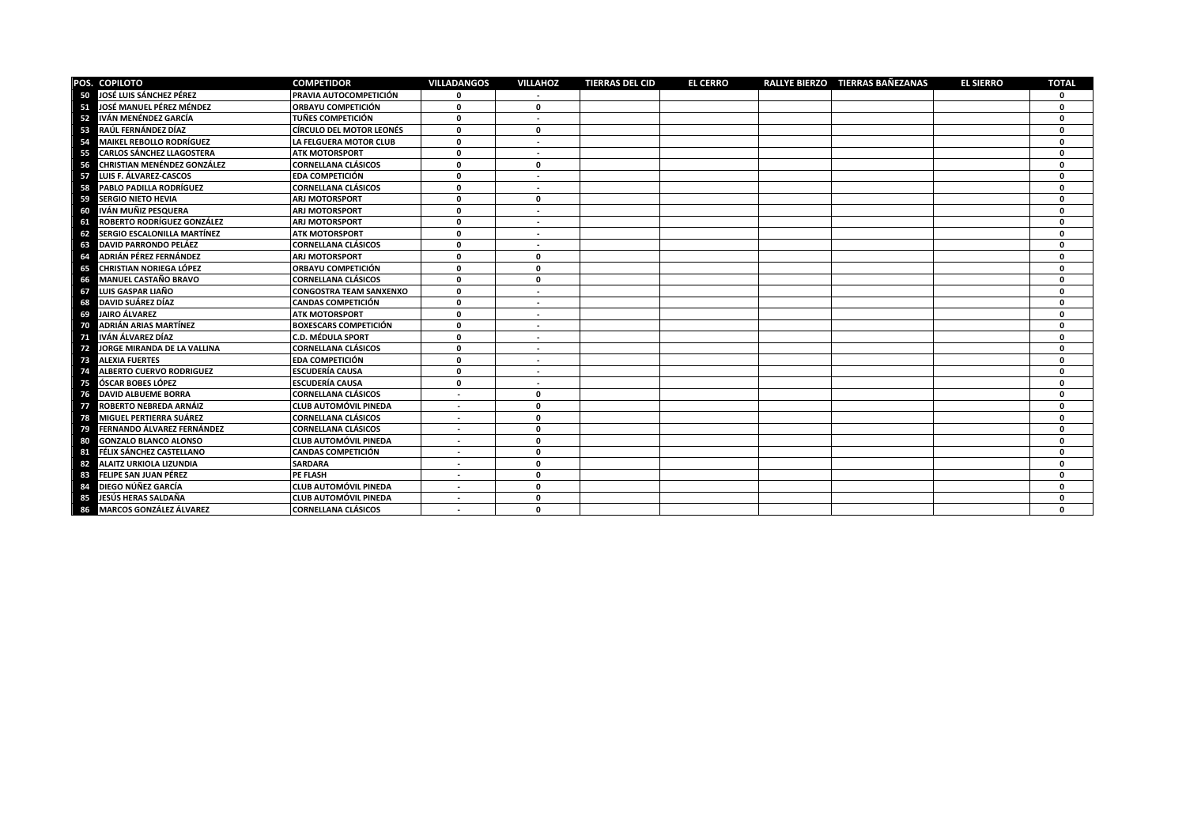|    | POS. COPILOTO                      | <b>COMPETIDOR</b>               | <b>VILLADANGOS</b>       | <b>VILLAHOZ</b>          | <b>TIERRAS DEL CID</b> | <b>EL CERRO</b> | RALLYE BIERZO TIERRAS BAÑEZANAS | <b>EL SIERRO</b> | <b>TOTAL</b> |
|----|------------------------------------|---------------------------------|--------------------------|--------------------------|------------------------|-----------------|---------------------------------|------------------|--------------|
|    | 50 JOSÉ LUIS SÁNCHEZ PÉREZ         | PRAVIA AUTOCOMPETICIÓN          |                          |                          |                        |                 |                                 |                  | O            |
| 51 | JOSÉ MANUEL PÉREZ MÉNDEZ           | ORBAYU COMPETICIÓN              | $\mathbf{0}$             | $\mathbf{0}$             |                        |                 |                                 |                  | O            |
| 52 | IVÁN MENÉNDEZ GARCÍA               | <b>TUÑES COMPETICIÓN</b>        | 0                        | ٠                        |                        |                 |                                 |                  | O            |
| 53 | RAÚL FERNÁNDEZ DÍAZ                | <b>CÍRCULO DEL MOTOR LEONÉS</b> | $\mathbf 0$              | 0                        |                        |                 |                                 |                  | O            |
| 54 | <b>MAIKEL REBOLLO RODRÍGUEZ</b>    | LA FELGUERA MOTOR CLUB          | 0                        |                          |                        |                 |                                 |                  | $\Omega$     |
| 55 | <b>CARLOS SÁNCHEZ LLAGOSTERA</b>   | <b>ATK MOTORSPORT</b>           | $\mathbf 0$              | $\overline{\phantom{a}}$ |                        |                 |                                 |                  | O            |
| 56 | <b>CHRISTIAN MENÉNDEZ GONZÁLEZ</b> | <b>CORNELLANA CLÁSICOS</b>      | $\mathbf{0}$             | $\mathbf{0}$             |                        |                 |                                 |                  | $\Omega$     |
| 57 | LUIS F. ÁLVAREZ-CASCOS             | <b>EDA COMPETICIÓN</b>          | $\mathbf 0$              | $\sim$                   |                        |                 |                                 |                  | $\Omega$     |
| 58 | PABLO PADILLA RODRÍGUEZ            | <b>CORNELLANA CLÁSICOS</b>      | $\mathbf{0}$             |                          |                        |                 |                                 |                  | $\mathbf{0}$ |
| 59 | <b>SERGIO NIETO HEVIA</b>          | <b>ARJ MOTORSPORT</b>           | $\mathbf{0}$             | $\mathbf{0}$             |                        |                 |                                 |                  | $\mathbf{0}$ |
| 60 | IVÁN MUÑIZ PESQUERA                | <b>ARJ MOTORSPORT</b>           | $\mathbf{0}$             |                          |                        |                 |                                 |                  | $\Omega$     |
| 61 | ROBERTO RODRÍGUEZ GONZÁLEZ         | <b>ARJ MOTORSPORT</b>           | $\mathbf 0$              |                          |                        |                 |                                 |                  | $\Omega$     |
| 62 | <b>SERGIO ESCALONILLA MARTÍNEZ</b> | <b>ATK MOTORSPORT</b>           | $\Omega$                 |                          |                        |                 |                                 |                  | $\mathbf{0}$ |
| 63 | <b>DAVID PARRONDO PELÁEZ</b>       | <b>CORNELLANA CLÁSICOS</b>      | $\mathbf{0}$             |                          |                        |                 |                                 |                  | $\mathbf{0}$ |
| 64 | ADRIÁN PÉREZ FERNÁNDEZ             | <b>ARJ MOTORSPORT</b>           | $\Omega$                 | O.                       |                        |                 |                                 |                  | O            |
| 65 | <b>CHRISTIAN NORIEGA LÓPEZ</b>     | ORBAYU COMPETICIÓN              | $\Omega$                 | O                        |                        |                 |                                 |                  | O            |
| 66 | <b>MANUEL CASTAÑO BRAVO</b>        | <b>CORNELLANA CLÁSICOS</b>      | $\Omega$                 | 0                        |                        |                 |                                 |                  | $\Omega$     |
| 67 | LUIS GASPAR LIAÑO                  | <b>CONGOSTRA TEAM SANXENXO</b>  | $\Omega$                 | $\sim$                   |                        |                 |                                 |                  | O            |
| 68 | DAVID SUÁREZ DÍAZ                  | <b>CANDAS COMPETICIÓN</b>       | $\mathbf 0$              | $\sim$                   |                        |                 |                                 |                  | O            |
| 69 | <b>JAIRO ÁLVAREZ</b>               | <b>ATK MOTORSPORT</b>           | $\mathbf 0$              | $\sim$                   |                        |                 |                                 |                  | 0            |
| 70 | <b>ADRIÁN ARIAS MARTÍNEZ</b>       | <b>BOXESCARS COMPETICIÓN</b>    | $\mathbf 0$              | $\sim$                   |                        |                 |                                 |                  | <sup>0</sup> |
| 71 | IVÁN ÁLVAREZ DÍAZ                  | <b>C.D. MÉDULA SPORT</b>        | $\mathbf 0$              | $\sim$                   |                        |                 |                                 |                  | 0            |
| 72 | JORGE MIRANDA DE LA VALLINA        | <b>CORNELLANA CLÁSICOS</b>      | $\mathbf{0}$             | $\sim$                   |                        |                 |                                 |                  | $\Omega$     |
| 73 | <b>ALEXIA FUERTES</b>              | <b>EDA COMPETICIÓN</b>          | $\mathbf 0$              | $\sim$                   |                        |                 |                                 |                  | $\mathbf{0}$ |
| 74 | ALBERTO CUERVO RODRIGUEZ           | <b>ESCUDERÍA CAUSA</b>          | $\mathbf 0$              | ٠                        |                        |                 |                                 |                  | $\mathbf{0}$ |
| 75 | ÓSCAR BOBES LÓPEZ                  | <b>ESCUDERÍA CAUSA</b>          | 0                        | $\sim$                   |                        |                 |                                 |                  | $\mathbf{0}$ |
| 76 | <b>DAVID ALBUEME BORRA</b>         | <b>CORNELLANA CLÁSICOS</b>      | $\sim$                   | $\mathbf{0}$             |                        |                 |                                 |                  | $\mathbf{0}$ |
| 77 | ROBERTO NEBREDA ARNÁIZ             | <b>CLUB AUTOMÓVIL PINEDA</b>    | $\sim$                   | 0                        |                        |                 |                                 |                  | $\mathbf{0}$ |
| 78 | MIGUEL PERTIERRA SUÁREZ            | <b>CORNELLANA CLÁSICOS</b>      | $\sim$                   | 0                        |                        |                 |                                 |                  | $\mathbf{0}$ |
| 79 | FERNANDO ÁLVAREZ FERNÁNDEZ         | CORNELLANA CLÁSICOS             | $\sim$                   | $\mathbf{0}$             |                        |                 |                                 |                  | $\mathbf{0}$ |
| 80 | <b>GONZALO BLANCO ALONSO</b>       | <b>CLUB AUTOMÓVIL PINEDA</b>    | $\overline{\phantom{a}}$ | 0                        |                        |                 |                                 |                  | $\Omega$     |
| 81 | FÉLIX SÁNCHEZ CASTELLANO           | <b>CANDAS COMPETICIÓN</b>       | $\sim$                   | $\mathbf{0}$             |                        |                 |                                 |                  | $\Omega$     |
| 82 | ALAITZ URKIOLA LIZUNDIA            | <b>SARDARA</b>                  | ٠                        | 0                        |                        |                 |                                 |                  | 0            |
| 83 | FELIPE SAN JUAN PÉREZ              | PE FLASH                        | $\sim$                   | 0                        |                        |                 |                                 |                  | O            |
| 84 | DIEGO NÚÑEZ GARCÍA                 | <b>CLUB AUTOMÓVIL PINEDA</b>    |                          | O.                       |                        |                 |                                 |                  | O            |
| 85 | JESÚS HERAS SALDAÑA                | <b>CLUB AUTOMÓVIL PINEDA</b>    | $\overline{\phantom{a}}$ | 0                        |                        |                 |                                 |                  | O            |
| 86 | <b>MARCOS GONZÁLEZ ÁLVAREZ</b>     | <b>CORNELLANA CLÁSICOS</b>      | $\overline{\phantom{a}}$ | O                        |                        |                 |                                 |                  | n            |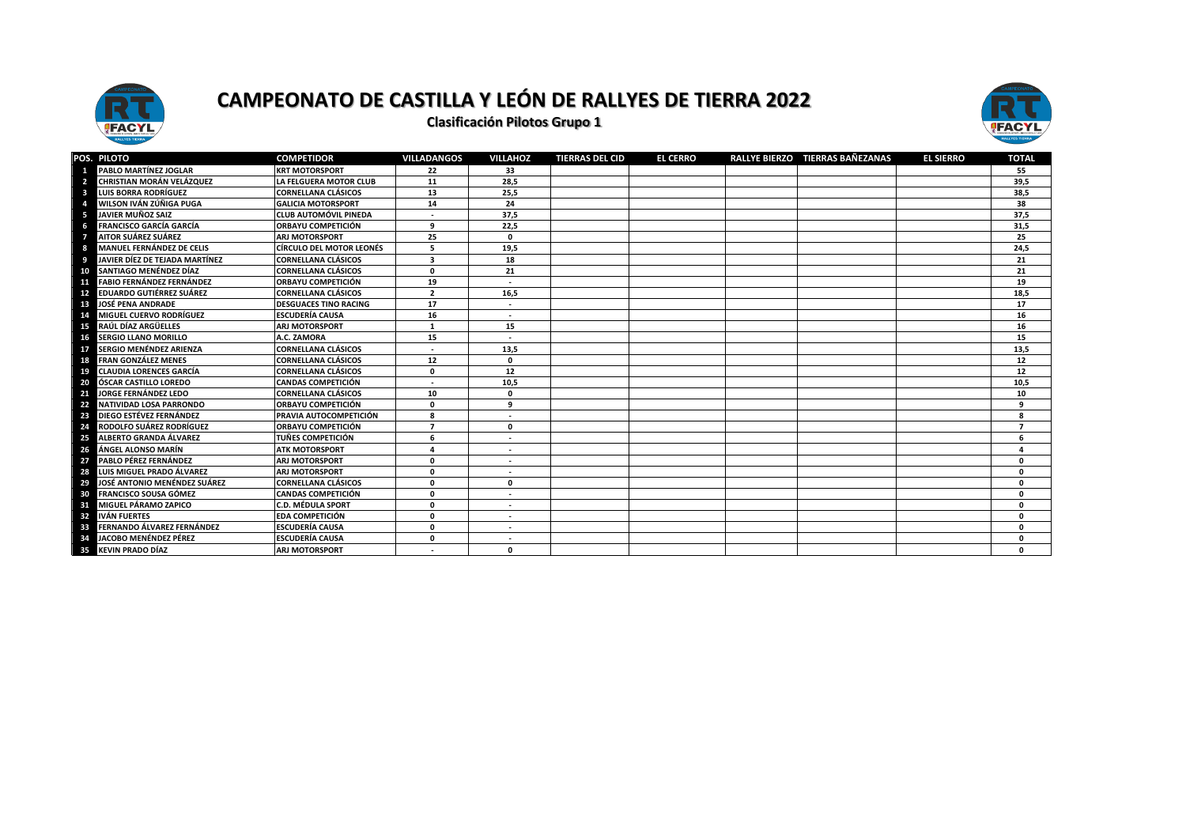



|    | POS. PILOTO                      | <b>COMPETIDOR</b>               | <b>VILLADANGOS</b>      | <b>VILLAHOZ</b>          | <b>TIERRAS DEL CID</b> | <b>EL CERRO</b> | RALLYE BIERZO TIERRAS BAÑEZANAS | <b>EL SIERRO</b> | <b>TOTAL</b>   |
|----|----------------------------------|---------------------------------|-------------------------|--------------------------|------------------------|-----------------|---------------------------------|------------------|----------------|
|    | PABLO MARTÍNEZ JOGLAR            | <b>KRT MOTORSPORT</b>           | 22                      | 33                       |                        |                 |                                 |                  | 55             |
|    | CHRISTIAN MORÁN VELÁZQUEZ        | LA FELGUERA MOTOR CLUB          | 11                      | 28,5                     |                        |                 |                                 |                  | 39,5           |
|    | <b>LUIS BORRA RODRÍGUEZ</b>      | <b>CORNELLANA CLÁSICOS</b>      | 13                      | 25,5                     |                        |                 |                                 |                  | 38,5           |
|    | WILSON IVÁN ZÚÑIGA PUGA          | <b>GALICIA MOTORSPORT</b>       | 14                      | 24                       |                        |                 |                                 |                  | 38             |
|    | JAVIER MUÑOZ SAIZ                | <b>CLUB AUTOMÓVIL PINEDA</b>    |                         | 37,5                     |                        |                 |                                 |                  | 37,5           |
|    | <b>FRANCISCO GARCÍA GARCÍA</b>   | ORBAYU COMPETICIÓN              | q                       | 22,5                     |                        |                 |                                 |                  | 31,5           |
|    | AITOR SUÁREZ SUÁREZ              | ARJ MOTORSPORT                  | 25                      | $\mathbf{0}$             |                        |                 |                                 |                  | 25             |
|    | <b>MANUEL FERNÁNDEZ DE CELIS</b> | <b>CÍRCULO DEL MOTOR LEONÉS</b> | 5                       | 19,5                     |                        |                 |                                 |                  | 24,5           |
|    | JAVIER DÍEZ DE TEJADA MARTÍNEZ   | <b>CORNELLANA CLÁSICOS</b>      | з                       | 18                       |                        |                 |                                 |                  | 21             |
| 10 | SANTIAGO MENÉNDEZ DÍAZ           | <b>CORNELLANA CLÁSICOS</b>      | O                       | 21                       |                        |                 |                                 |                  | 21             |
| 11 | <b>FABIO FERNÁNDEZ FERNÁNDEZ</b> | ORBAYU COMPETICIÓN              | 19                      | $\overline{\phantom{a}}$ |                        |                 |                                 |                  | 19             |
| 12 | <b>EDUARDO GUTIÉRREZ SUÁREZ</b>  | <b>CORNELLANA CLÁSICOS</b>      | $\overline{\mathbf{2}}$ | 16,5                     |                        |                 |                                 |                  | 18,5           |
| 13 | <b>JOSÉ PENA ANDRADE</b>         | <b>DESGUACES TINO RACING</b>    | 17                      | $\overline{\phantom{a}}$ |                        |                 |                                 |                  | 17             |
| 14 | <b>MIGUEL CUERVO RODRÍGUEZ</b>   | <b>ESCUDERÍA CAUSA</b>          | 16                      | $\overline{\phantom{a}}$ |                        |                 |                                 |                  | 16             |
| 15 | RAÚL DÍAZ ARGÜELLES              | <b>ARJ MOTORSPORT</b>           | $\mathbf{1}$            | 15                       |                        |                 |                                 |                  | 16             |
| 16 | <b>SERGIO LLANO MORILLO</b>      | A.C. ZAMORA                     | 15                      |                          |                        |                 |                                 |                  | 15             |
| 17 | <b>SERGIO MENÉNDEZ ARIENZA</b>   | <b>CORNELLANA CLÁSICOS</b>      |                         | 13,5                     |                        |                 |                                 |                  | 13,5           |
| 18 | <b>FRAN GONZÁLEZ MENES</b>       | <b>CORNELLANA CLÁSICOS</b>      | 12                      | $\mathbf{0}$             |                        |                 |                                 |                  | 12             |
| 19 | <b>CLAUDIA LORENCES GARCÍA</b>   | <b>CORNELLANA CLÁSICOS</b>      | O                       | 12                       |                        |                 |                                 |                  | 12             |
| 20 | ÓSCAR CASTILLO LOREDO            | <b>CANDAS COMPETICIÓN</b>       |                         | 10,5                     |                        |                 |                                 |                  | 10,5           |
| 21 | JORGE FERNÁNDEZ LEDO             | <b>CORNELLANA CLÁSICOS</b>      | 10                      | $\Omega$                 |                        |                 |                                 |                  | 10             |
| 22 | <b>NATIVIDAD LOSA PARRONDO</b>   | ORBAYU COMPETICIÓN              |                         | q                        |                        |                 |                                 |                  | 9              |
| 23 | DIEGO ESTÉVEZ FERNÁNDEZ          | PRAVIA AUTOCOMPETICIÓN          |                         |                          |                        |                 |                                 |                  | 8              |
| 24 | RODOLFO SUÁREZ RODRÍGUEZ         | <b>ORBAYU COMPETICIÓN</b>       |                         | $\mathbf 0$              |                        |                 |                                 |                  | $\overline{7}$ |
| 25 | <b>ALBERTO GRANDA ÁLVAREZ</b>    | <b>TUÑES COMPETICIÓN</b>        | 6                       | $\overline{\phantom{a}}$ |                        |                 |                                 |                  | 6              |
| 26 | ÁNGEL ALONSO MARÍN               | <b>ATK MOTORSPORT</b>           | Δ                       | $\overline{\phantom{a}}$ |                        |                 |                                 |                  | 4              |
| 27 | PABLO PÉREZ FERNÁNDEZ            | <b>ARJ MOTORSPORT</b>           | O                       |                          |                        |                 |                                 |                  | 0              |
| 28 | LUIS MIGUEL PRADO ÁLVAREZ        | <b>ARJ MOTORSPORT</b>           | n                       | ٠                        |                        |                 |                                 |                  | $\mathbf{0}$   |
| 29 | JOSÉ ANTONIO MENÉNDEZ SUÁREZ     | <b>CORNELLANA CLÁSICOS</b>      | n                       | $\mathbf 0$              |                        |                 |                                 |                  | $\mathbf{0}$   |
| 30 | <b>FRANCISCO SOUSA GÓMEZ</b>     | <b>CANDAS COMPETICIÓN</b>       | n                       | $\overline{\phantom{a}}$ |                        |                 |                                 |                  | $\mathbf{0}$   |
| 31 | <b>MIGUEL PÁRAMO ZAPICO</b>      | <b>C.D. MÉDULA SPORT</b>        | O                       |                          |                        |                 |                                 |                  | $\mathbf 0$    |
| 32 | <b>IVÁN FUERTES</b>              | <b>EDA COMPETICIÓN</b>          | n                       |                          |                        |                 |                                 |                  | $\mathbf 0$    |
| 33 | FERNANDO ÁLVAREZ FERNÁNDEZ       | <b>ESCUDERÍA CAUSA</b>          | O                       | $\overline{\phantom{a}}$ |                        |                 |                                 |                  | 0              |
| 34 | JACOBO MENÉNDEZ PÉREZ            | <b>ESCUDERÍA CAUSA</b>          | O                       |                          |                        |                 |                                 |                  | 0              |
| 35 | <b>KEVIN PRADO DÍAZ</b>          | <b>ARI MOTORSPORT</b>           |                         | $\Omega$                 |                        |                 |                                 |                  | $\Omega$       |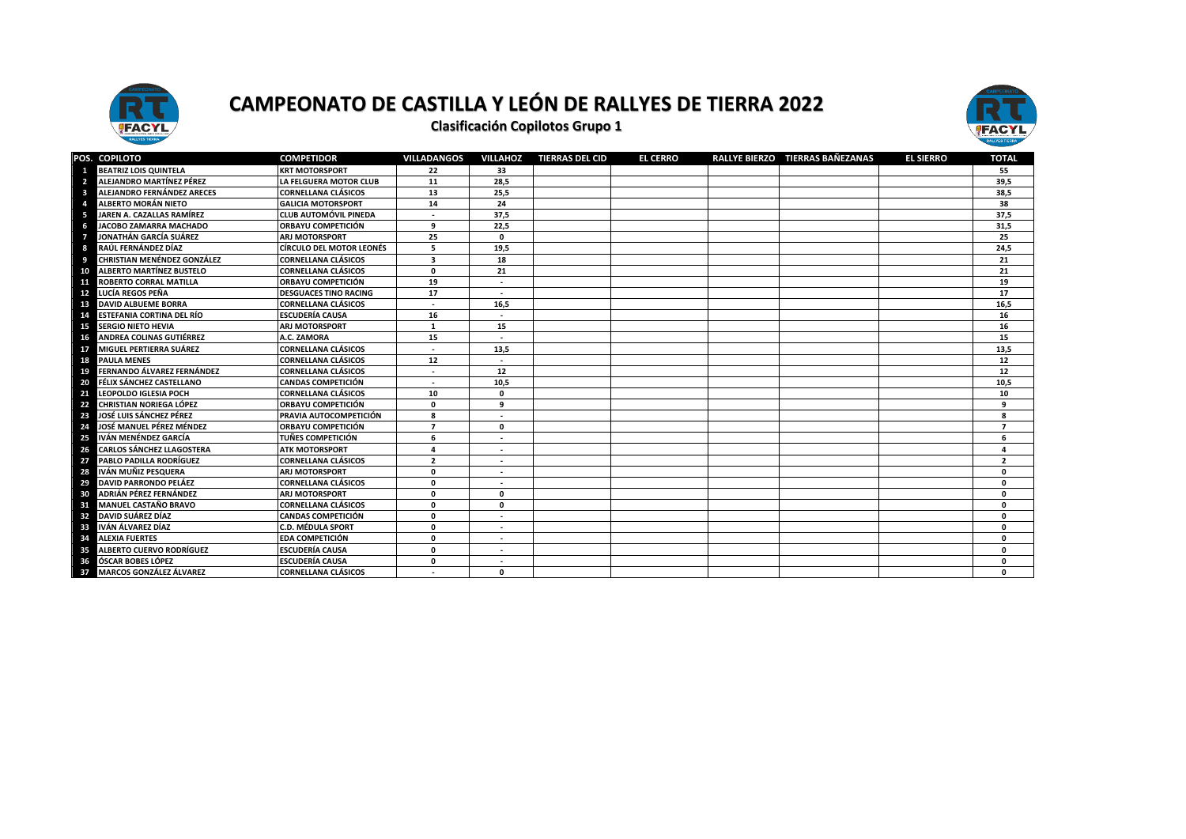



|    | POS. COPILOTO                      | <b>COMPETIDOR</b>               | <b>VILLADANGOS</b> | <b>VILLAHOZ</b>          | <b>TIERRAS DEL CID</b> | <b>EL CERRO</b> | RALLYE BIERZO TIERRAS BAÑEZANAS | <b>EL SIERRO</b> | <b>TOTAL</b>   |
|----|------------------------------------|---------------------------------|--------------------|--------------------------|------------------------|-----------------|---------------------------------|------------------|----------------|
|    | <b>BEATRIZ LOIS QUINTELA</b>       | <b>KRT MOTORSPORT</b>           | 22                 | 33                       |                        |                 |                                 |                  | 55             |
|    | ALEJANDRO MARTÍNEZ PÉREZ           | LA FELGUERA MOTOR CLUB          | 11                 | 28,5                     |                        |                 |                                 |                  | 39,5           |
| т  | ALEJANDRO FERNÁNDEZ ARECES         | <b>CORNELLANA CLÁSICOS</b>      | 13                 | 25,5                     |                        |                 |                                 |                  | 38,5           |
|    | ALBERTO MORÁN NIETO                | <b>GALICIA MOTORSPORT</b>       | 14                 | 24                       |                        |                 |                                 |                  | 38             |
|    | JAREN A. CAZALLAS RAMÍREZ          | <b>CLUB AUTOMÓVIL PINEDA</b>    |                    | 37,5                     |                        |                 |                                 |                  | 37,5           |
|    | JACOBO ZAMARRA MACHADO             | ORBAYU COMPETICIÓN              | 9                  | 22,5                     |                        |                 |                                 |                  | 31,5           |
|    | JONATHÁN GARCÍA SUÁREZ             | <b>ARJ MOTORSPORT</b>           | 25                 | $\mathbf 0$              |                        |                 |                                 |                  | 25             |
|    | RAÚL FERNÁNDEZ DÍAZ                | <b>CÍRCULO DEL MOTOR LEONÉS</b> | 5                  | 19,5                     |                        |                 |                                 |                  | 24,5           |
|    | <b>CHRISTIAN MENÉNDEZ GONZÁLEZ</b> | <b>CORNELLANA CLÁSICOS</b>      | 3                  | 18                       |                        |                 |                                 |                  | 21             |
| 10 | <b>ALBERTO MARTÍNEZ BUSTELO</b>    | <b>CORNELLANA CLÁSICOS</b>      | $\mathbf{0}$       | 21                       |                        |                 |                                 |                  | 21             |
| 11 | <b>ROBERTO CORRAL MATILLA</b>      | <b>ORBAYU COMPETICIÓN</b>       | 19                 |                          |                        |                 |                                 |                  | 19             |
| 12 | LUCÍA REGOS PEÑA                   | <b>DESGUACES TINO RACING</b>    | 17                 |                          |                        |                 |                                 |                  | 17             |
| 13 | <b>DAVID ALBUEME BORRA</b>         | <b>CORNELLANA CLÁSICOS</b>      |                    | 16,5                     |                        |                 |                                 |                  | 16,5           |
| 14 | <b>ESTEFANIA CORTINA DEL RÍO</b>   | <b>ESCUDERÍA CAUSA</b>          | 16                 |                          |                        |                 |                                 |                  | 16             |
| 15 | <b>SERGIO NIETO HEVIA</b>          | <b>ARJ MOTORSPORT</b>           |                    | 15                       |                        |                 |                                 |                  | 16             |
| 16 | <b>ANDREA COLINAS GUTIÉRREZ</b>    | A.C. ZAMORA                     | 15                 |                          |                        |                 |                                 |                  | 15             |
| 17 | MIGUEL PERTIERRA SUÁREZ            | <b>CORNELLANA CLÁSICOS</b>      |                    | 13,5                     |                        |                 |                                 |                  | 13,5           |
| 18 | <b>PAULA MENES</b>                 | <b>CORNELLANA CLÁSICOS</b>      | 12                 |                          |                        |                 |                                 |                  | 12             |
| 19 | FERNANDO ÁLVAREZ FERNÁNDEZ         | <b>CORNELLANA CLÁSICOS</b>      |                    | 12                       |                        |                 |                                 |                  | 12             |
| 20 | FÉLIX SÁNCHEZ CASTELLANO           | <b>CANDAS COMPETICIÓN</b>       |                    | 10,5                     |                        |                 |                                 |                  | 10,5           |
| 21 | LEOPOLDO IGLESIA POCH              | <b>CORNELLANA CLÁSICOS</b>      | 10                 | $\mathbf{0}$             |                        |                 |                                 |                  | 10             |
| 22 | CHRISTIAN NORIEGA LÓPEZ            | <b>ORBAYU COMPETICIÓN</b>       | 0                  | 9                        |                        |                 |                                 |                  | 9              |
| 23 | JOSÉ LUIS SÁNCHEZ PÉREZ            | PRAVIA AUTOCOMPETICIÓN          | 8                  |                          |                        |                 |                                 |                  | 8              |
| 24 | JOSÉ MANUEL PÉREZ MÉNDEZ           | <b>ORBAYU COMPETICIÓN</b>       | $\overline{7}$     | $\mathbf{0}$             |                        |                 |                                 |                  | $\overline{7}$ |
| 25 | IVÁN MENÉNDEZ GARCÍA               | <b>TUÑES COMPETICIÓN</b>        | 6                  |                          |                        |                 |                                 |                  | 6              |
| 26 | <b>CARLOS SÁNCHEZ LLAGOSTERA</b>   | <b>ATK MOTORSPORT</b>           | 4                  | $\overline{\phantom{a}}$ |                        |                 |                                 |                  | $\overline{4}$ |
| 27 | PABLO PADILLA RODRÍGUEZ            | <b>CORNELLANA CLÁSICOS</b>      | $\overline{2}$     | $\overline{\phantom{a}}$ |                        |                 |                                 |                  | $\overline{2}$ |
| 28 | IVÁN MUÑIZ PESQUERA                | <b>ARJ MOTORSPORT</b>           | 0                  | $\overline{\phantom{a}}$ |                        |                 |                                 |                  | $\mathbf{0}$   |
| 29 | <b>DAVID PARRONDO PELÁEZ</b>       | <b>CORNELLANA CLÁSICOS</b>      | 0                  | $\sim$                   |                        |                 |                                 |                  | $\mathbf{0}$   |
| 30 | ADRIÁN PÉREZ FERNÁNDEZ             | <b>ARJ MOTORSPORT</b>           | $\mathbf{0}$       | $\mathbf{0}$             |                        |                 |                                 |                  | $\mathbf{0}$   |
| 31 | <b>MANUEL CASTAÑO BRAVO</b>        | <b>CORNELLANA CLÁSICOS</b>      | $\mathbf{0}$       | $\mathbf 0$              |                        |                 |                                 |                  | $\Omega$       |
| 32 | DAVID SUÁREZ DÍAZ                  | <b>CANDAS COMPETICIÓN</b>       | 0                  |                          |                        |                 |                                 |                  | $\mathbf{0}$   |
| 33 | IVÁN ÁLVAREZ DÍAZ                  | <b>C.D. MÉDULA SPORT</b>        | 0                  |                          |                        |                 |                                 |                  | $\mathbf 0$    |
| 34 | <b>ALEXIA FUERTES</b>              | <b>EDA COMPETICIÓN</b>          | 0                  |                          |                        |                 |                                 |                  | $\Omega$       |
| 35 | <b>ALBERTO CUERVO RODRÍGUEZ</b>    | <b>ESCUDERÍA CAUSA</b>          | 0                  |                          |                        |                 |                                 |                  | $\mathbf 0$    |
| 36 | <b>ÓSCAR BOBES LÓPEZ</b>           | <b>ESCUDERÍA CAUSA</b>          | 0                  |                          |                        |                 |                                 |                  | $\mathbf{0}$   |
| 37 | <b>MARCOS GONZÁLEZ ÁLVAREZ</b>     | <b>CORNELLANA CLÁSICOS</b>      |                    | $\mathbf{0}$             |                        |                 |                                 |                  | $\Omega$       |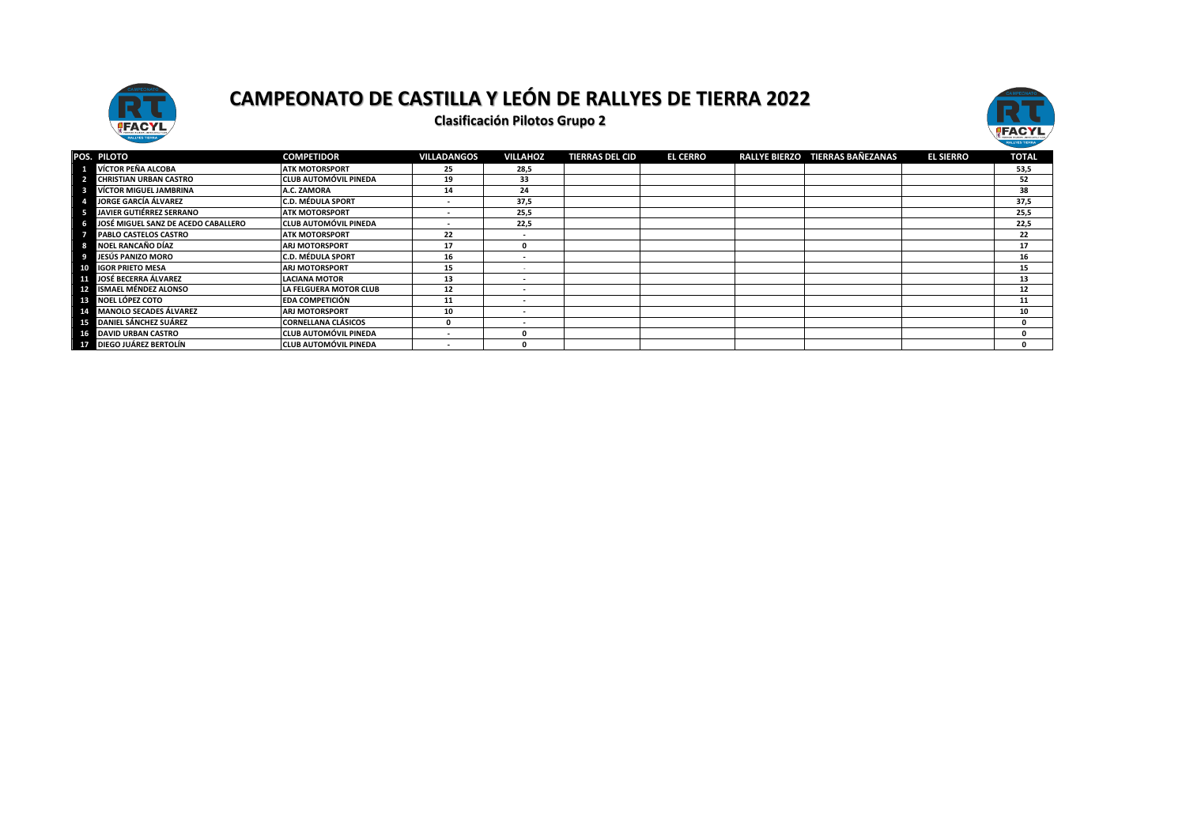



|                | POS. PILOTO                         | <b>COMPETIDOR</b>            | <b>VILLADANGOS</b>       | <b>VILLAHOZ</b>          | <b>TIERRAS DEL CID</b> | <b>EL CERRO</b> | RALLYE BIERZO TIERRAS BAÑEZANAS | <b>EL SIERRO</b> | <b>TOTAL</b> |
|----------------|-------------------------------------|------------------------------|--------------------------|--------------------------|------------------------|-----------------|---------------------------------|------------------|--------------|
|                | VÍCTOR PEÑA ALCOBA                  | <b>ATK MOTORSPORT</b>        | 25                       | 28,5                     |                        |                 |                                 |                  | 53,5         |
| $\overline{2}$ | <b>CHRISTIAN URBAN CASTRO</b>       | <b>CLUB AUTOMÓVIL PINEDA</b> | 19                       | 33                       |                        |                 |                                 |                  | 52           |
| 3              | <b>VÍCTOR MIGUEL JAMBRINA</b>       | A.C. ZAMORA                  | 14                       | 24                       |                        |                 |                                 |                  | 38           |
|                | <b>JORGE GARCÍA ÁLVAREZ</b>         | C.D. MÉDULA SPORT            | . .                      | 37.5                     |                        |                 |                                 |                  | 37,5         |
| -5             | <b>JAVIER GUTIÉRREZ SERRANO</b>     | <b>ATK MOTORSPORT</b>        | $\overline{\phantom{a}}$ | 25,5                     |                        |                 |                                 |                  | 25,5         |
|                | JOSÉ MIGUEL SANZ DE ACEDO CABALLERO | <b>CLUB AUTOMÓVIL PINEDA</b> | . .                      | 22,5                     |                        |                 |                                 |                  | 22,5         |
|                | PABLO CASTELOS CASTRO               | <b>ATK MOTORSPORT</b>        | 22                       | $\overline{\phantom{a}}$ |                        |                 |                                 |                  | 22           |
|                | 8 NOEL RANCAÑO DÍAZ                 | ARJ MOTORSPORT               | 17                       | $\mathbf{0}$             |                        |                 |                                 |                  | 17           |
|                | 9 JESÚS PANIZO MORO                 | C.D. MÉDULA SPORT            | 16                       | $\overline{\phantom{a}}$ |                        |                 |                                 |                  | 16           |
|                | 10 IGOR PRIETO MESA                 | <b>ARJ MOTORSPORT</b>        | 15                       |                          |                        |                 |                                 |                  | 15           |
|                | <b>11 JOSÉ BECERRA ÁLVAREZ</b>      | <b>LACIANA MOTOR</b>         | 13                       | $\overline{\phantom{0}}$ |                        |                 |                                 |                  | 13           |
|                | 12 ISMAEL MÉNDEZ ALONSO             | LA FELGUERA MOTOR CLUB       | 12                       | $\overline{\phantom{a}}$ |                        |                 |                                 |                  | 12           |
|                | <b>18 NOEL LÓPEZ COTO</b>           | <b>EDA COMPETICIÓN</b>       | 11                       | $\overline{\phantom{a}}$ |                        |                 |                                 |                  | 11           |
|                | 14 MANOLO SECADES ÁLVAREZ           | ARJ MOTORSPORT               | 10                       | $\overline{\phantom{a}}$ |                        |                 |                                 |                  | 10           |
|                | <b>15</b> DANIEL SÁNCHEZ SUÁREZ     | CORNELLANA CLÁSICOS          | $\Omega$                 | $\overline{\phantom{a}}$ |                        |                 |                                 |                  | 0            |
|                | 16 DAVID URBAN CASTRO               | <b>CLUB AUTOMÓVIL PINEDA</b> |                          | $\Omega$                 |                        |                 |                                 |                  | 0            |
|                | <b>IV DIEGO JUÁREZ BERTOLÍN</b>     | <b>CLUB AUTOMÓVIL PINEDA</b> |                          | 0                        |                        |                 |                                 |                  | 0            |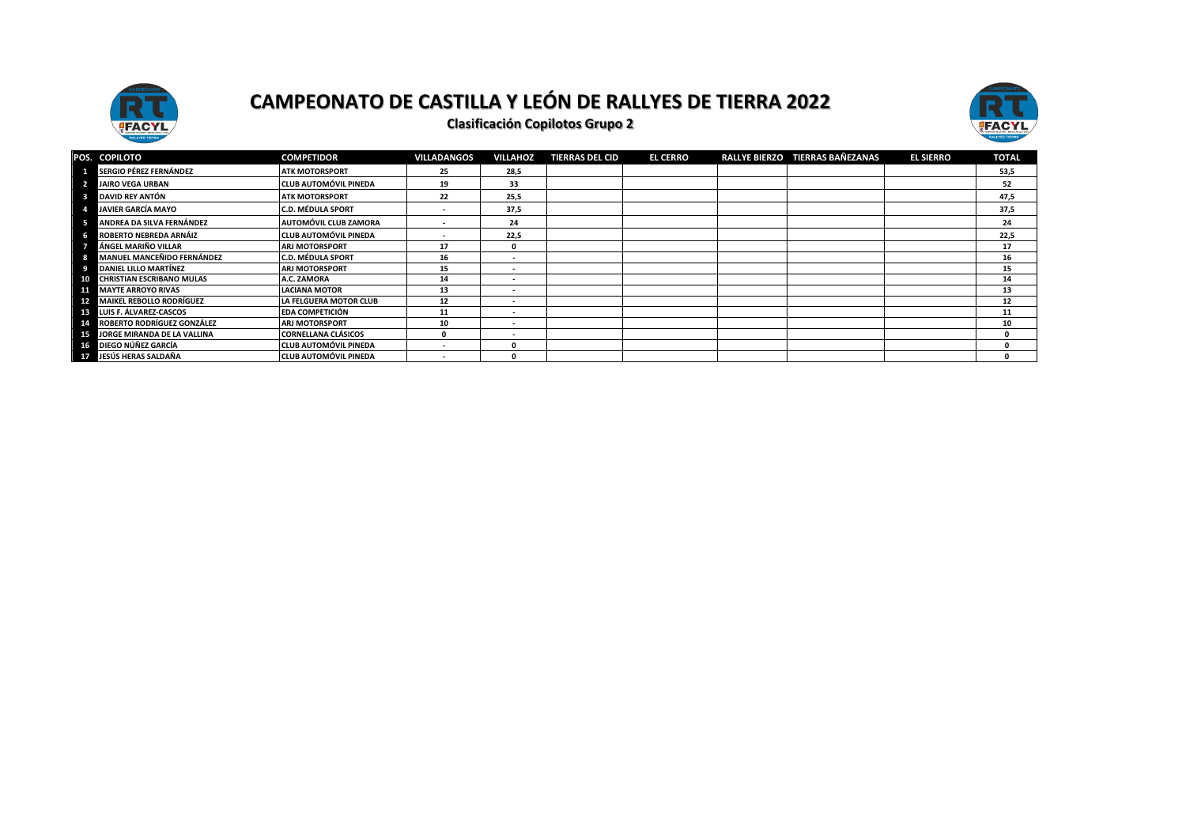





|    | POS. COPILOTO                     | <b>COMPETIDOR</b>            | <b>VILLADANGOS</b> | <b>VILLAHOZ</b>          | <b>TIERRAS DEL CID</b> | <b>EL CERRO</b> | RALLYE BIERZO TIERRAS BAÑEZANAS | <b>EL SIERRO</b> | <b>TOTAL</b> |
|----|-----------------------------------|------------------------------|--------------------|--------------------------|------------------------|-----------------|---------------------------------|------------------|--------------|
|    | <b>1 SERGIO PÉREZ FERNÁNDEZ</b>   | <b>ATK MOTORSPORT</b>        | 25                 | 28,5                     |                        |                 |                                 |                  | 53,5         |
|    | <b>JAIRO VEGA URBAN</b>           | <b>CLUB AUTOMÓVIL PINEDA</b> | 19                 | 33                       |                        |                 |                                 |                  | 52           |
| -8 | DAVID REY ANTÓN                   | <b>ATK MOTORSPORT</b>        | 22                 | 25,5                     |                        |                 |                                 |                  | 47,5         |
|    | <b>JAVIER GARCÍA MAYO</b>         | <b>C.D. MÉDULA SPORT</b>     |                    | 37,5                     |                        |                 |                                 |                  | 37,5         |
| 5  | ANDREA DA SILVA FERNÁNDEZ         | AUTOMÓVIL CLUB ZAMORA        |                    | 24                       |                        |                 |                                 |                  | 24           |
| 6  | <b>ROBERTO NEBREDA ARNÁIZ</b>     | <b>CLUB AUTOMÓVIL PINEDA</b> |                    | 22,5                     |                        |                 |                                 |                  | 22,5         |
|    | ÁNGEL MARIÑO VILLAR               | <b>ARJ MOTORSPORT</b>        | 17                 | 0                        |                        |                 |                                 |                  | 17           |
| 8  | <b>MANUEL MANCEÑIDO FERNÁNDEZ</b> | <b>C.D. MÉDULA SPORT</b>     | 16                 | $\overline{\phantom{a}}$ |                        |                 |                                 |                  | 16           |
| 9  | <b>DANIEL LILLO MARTÍNEZ</b>      | <b>ARJ MOTORSPORT</b>        | 15                 | $\overline{\phantom{a}}$ |                        |                 |                                 |                  | 15           |
|    | 10 CHRISTIAN ESCRIBANO MULAS      | A.C. ZAMORA                  | 14                 | $\overline{\phantom{a}}$ |                        |                 |                                 |                  | 14           |
|    | <b>11 MAYTE ARROYO RIVAS</b>      | <b>LACIANA MOTOR</b>         | 13                 | $\overline{\phantom{a}}$ |                        |                 |                                 |                  | 13           |
|    | 12 MAIKEL REBOLLO RODRÍGUEZ       | LA FELGUERA MOTOR CLUB       | 12                 | $\overline{\phantom{a}}$ |                        |                 |                                 |                  | 12           |
|    | <b>IE LUIS F. ÁLVAREZ-CASCOS</b>  | <b>EDA COMPETICIÓN</b>       | 11                 | $\overline{\phantom{a}}$ |                        |                 |                                 |                  | 11           |
|    | 14 ROBERTO RODRÍGUEZ GONZÁLEZ     | <b>ARJ MOTORSPORT</b>        | 10                 | $\overline{\phantom{a}}$ |                        |                 |                                 |                  | 10           |
|    | 15 JORGE MIRANDA DE LA VALLINA    | <b>CORNELLANA CLÁSICOS</b>   | 0                  | $\overline{\phantom{a}}$ |                        |                 |                                 |                  |              |
|    | 16 DIEGO NÚÑEZ GARCÍA             | <b>CLUB AUTOMÓVIL PINEDA</b> |                    | 0                        |                        |                 |                                 |                  |              |
|    | 17 JESÚS HERAS SALDAÑA            | <b>CLUB AUTOMÓVIL PINEDA</b> |                    | 0                        |                        |                 |                                 |                  |              |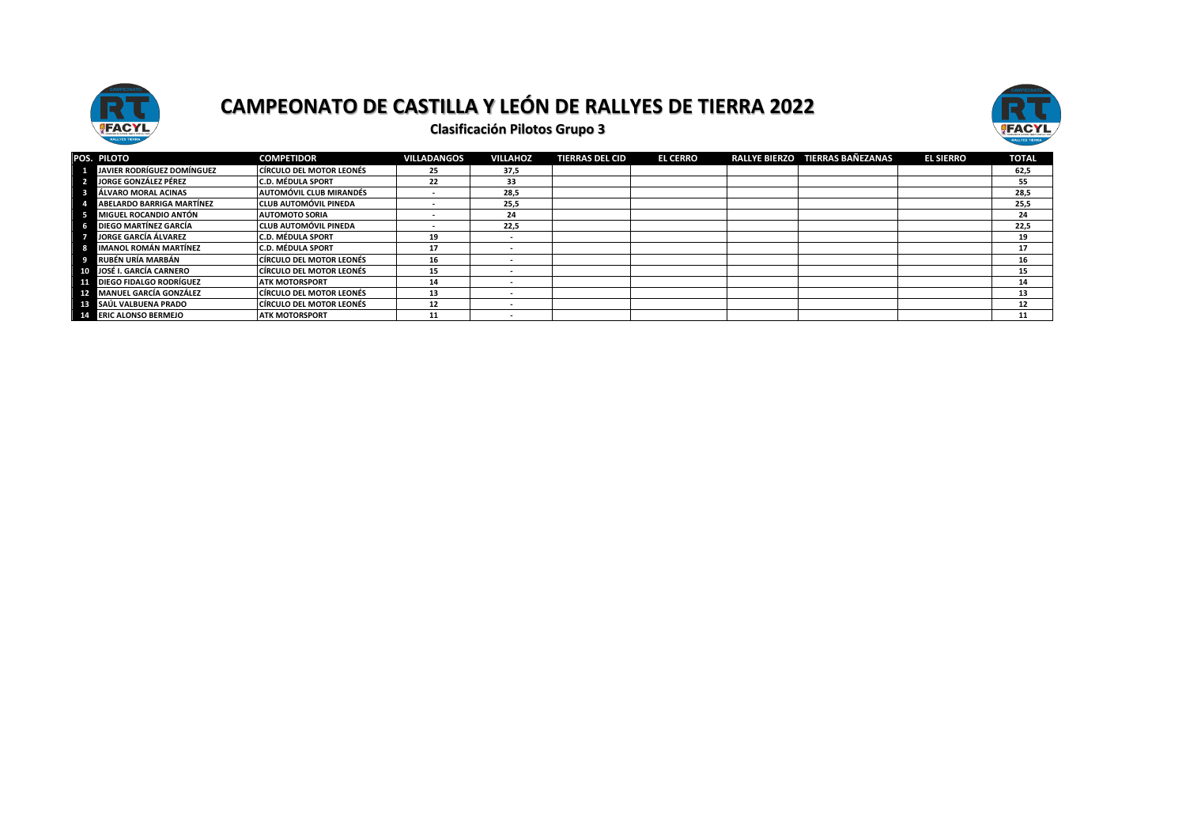



|    | POS. PILOTO                        | <b>COMPETIDOR</b>               | <b>VILLADANGOS</b> | <b>VILLAHOZ</b> | <b>TIERRAS DEL CID</b> | <b>EL CERRO</b> | <b>RALLYE BIERZO</b> | <b>TIERRAS BAÑEZANAS</b> | <b>EL SIERRO</b> | <b>TOTAL</b> |
|----|------------------------------------|---------------------------------|--------------------|-----------------|------------------------|-----------------|----------------------|--------------------------|------------------|--------------|
|    | JAVIER RODRÍGUEZ DOMÍNGUEZ         | <b>CÍRCULO DEL MOTOR LEONÉS</b> | 25                 | 37,5            |                        |                 |                      |                          |                  | 62,5         |
|    | JORGE GONZÁLEZ PÉREZ               | <b>C.D. MÉDULA SPORT</b>        | 22                 | 33              |                        |                 |                      |                          |                  | 55           |
|    | ÁLVARO MORAL ACINAS                | <b>AUTOMÓVIL CLUB MIRANDÉS</b>  |                    | 28,5            |                        |                 |                      |                          |                  | 28,5         |
|    | <b>ABELARDO BARRIGA MARTÍNEZ</b>   | <b>CLUB AUTOMÓVIL PINEDA</b>    |                    | 25,5            |                        |                 |                      |                          |                  | 25,5         |
|    | <b>MIGUEL ROCANDIO ANTÓN</b>       | <b>AUTOMOTO SORIA</b>           |                    | 24              |                        |                 |                      |                          |                  | 24           |
|    | DIEGO MARTÍNEZ GARCÍA              | <b>CLUB AUTOMÓVIL PINEDA</b>    |                    | 22,5            |                        |                 |                      |                          |                  | 22,5         |
|    | <b>JORGE GARCÍA ÁLVAREZ</b>        | <b>C.D. MÉDULA SPORT</b>        | 19                 | . .             |                        |                 |                      |                          |                  | 19           |
|    | <b>IMANOL ROMÁN MARTÍNEZ</b>       | <b>C.D. MÉDULA SPORT</b>        | -17                |                 |                        |                 |                      |                          |                  | 17           |
|    | RUBÉN URÍA MARBÁN                  | <b>CÍRCULO DEL MOTOR LEONÉS</b> | 16                 |                 |                        |                 |                      |                          |                  | 16           |
|    | 10 JOSÉ I. GARCÍA CARNERO          | <b>CÍRCULO DEL MOTOR LEONÉS</b> | 15                 |                 |                        |                 |                      |                          |                  | 15           |
| 11 | <b>DIEGO FIDALGO RODRÍGUEZ</b>     | <b>ATK MOTORSPORT</b>           | 14                 | . .             |                        |                 |                      |                          |                  | 14           |
|    | 12 MANUEL GARCÍA GONZÁLEZ          | CÍRCULO DEL MOTOR LEONÉS        | 13                 |                 |                        |                 |                      |                          |                  | 13           |
|    | <b>FRENCIA SAÚL VALBUENA PRADO</b> | <b>CÍRCULO DEL MOTOR LEONÉS</b> | 12                 | . .             |                        |                 |                      |                          |                  | 12           |
|    | <b>ELE ERIC ALONSO BERMEJO</b>     | <b>ATK MOTORSPORT</b>           | 11                 |                 |                        |                 |                      |                          |                  | 11           |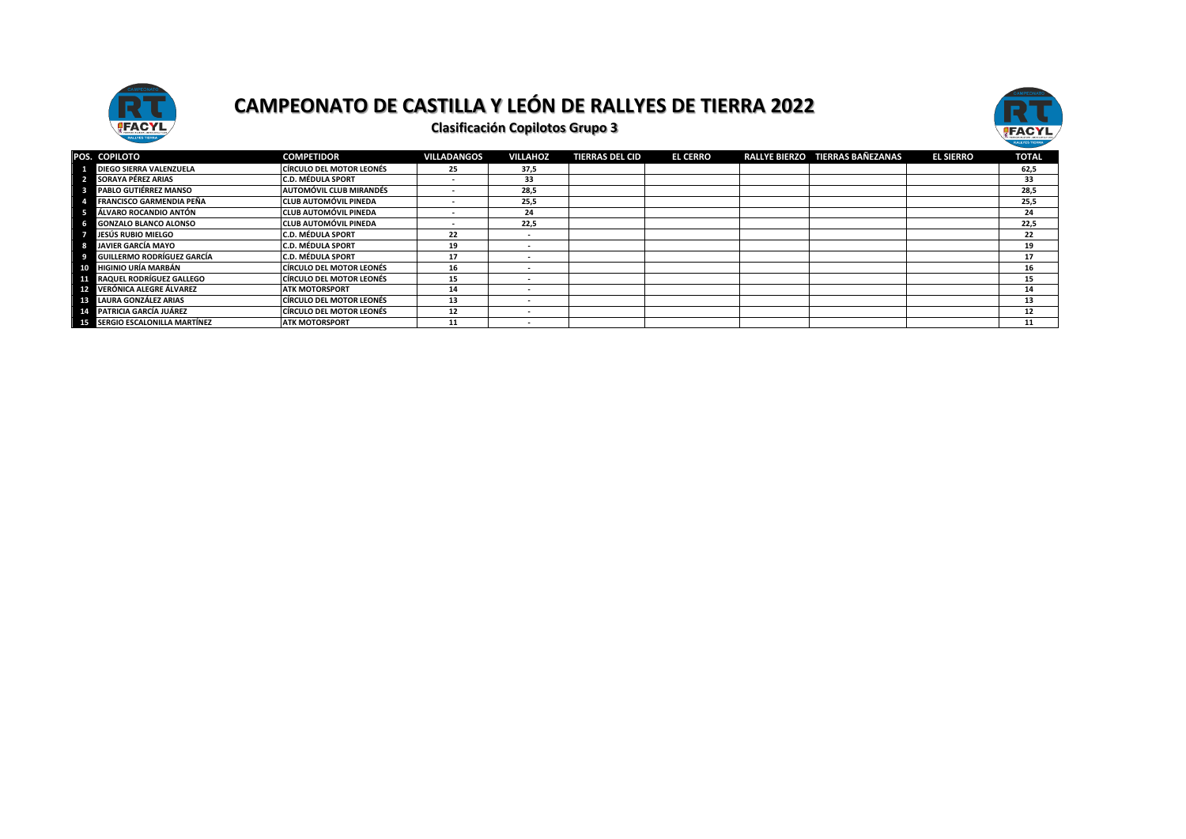



|    | POS. COPILOTO                         | <b>COMPETIDOR</b>               | <b>VILLADANGOS</b> | <b>VILLAHOZ</b>          | <b>TIERRAS DEL CID</b> | <b>EL CERRO</b> | RALLYE BIERZO TIERRAS BAÑEZANAS | <b>EL SIERRO</b> | <b>TOTAL</b> |
|----|---------------------------------------|---------------------------------|--------------------|--------------------------|------------------------|-----------------|---------------------------------|------------------|--------------|
|    | <b>DIEGO SIERRA VALENZUELA</b>        | <b>CÍRCULO DEL MOTOR LEONÉS</b> | 25                 | 37.5                     |                        |                 |                                 |                  | 62,5         |
|    | 2 SORAYA PÉREZ ARIAS                  | <b>C.D. MÉDULA SPORT</b>        |                    | 33                       |                        |                 |                                 |                  | 33           |
|    | PABLO GUTIÉRREZ MANSO                 | <b>AUTOMÓVIL CLUB MIRANDÉS</b>  |                    | 28.5                     |                        |                 |                                 |                  | 28,5         |
|    | <b>FRANCISCO GARMENDIA PEÑA</b>       | <b>CLUB AUTOMÓVIL PINEDA</b>    |                    | 25,5                     |                        |                 |                                 |                  | 25,5         |
| -5 | ÁLVARO ROCANDIO ANTÓN                 | <b>CLUB AUTOMÓVIL PINEDA</b>    |                    | 24                       |                        |                 |                                 |                  | 24           |
| 6  | <b>GONZALO BLANCO ALONSO</b>          | <b>CLUB AUTOMÓVIL PINEDA</b>    |                    | 22,5                     |                        |                 |                                 |                  | 22,5         |
|    | JESÚS RUBIO MIELGO                    | <b>C.D. MÉDULA SPORT</b>        | 22                 | $\sim$                   |                        |                 |                                 |                  | 22           |
| 8  | <b>JAVIER GARCÍA MAYO</b>             | <b>C.D. MÉDULA SPORT</b>        | 19                 |                          |                        |                 |                                 |                  | 19           |
| 9  | <b>GUILLERMO RODRÍGUEZ GARCÍA</b>     | <b>C.D. MÉDULA SPORT</b>        | 17                 |                          |                        |                 |                                 |                  | 17           |
| 10 | <b>HIGINIO URÍA MARBÁN</b>            | <b>CÍRCULO DEL MOTOR LEONÉS</b> | 16                 | $\overline{\phantom{a}}$ |                        |                 |                                 |                  | 16           |
|    | <b>FFI</b> RAQUEL RODRÍGUEZ GALLEGO   | <b>CÍRCULO DEL MOTOR LEONÉS</b> | 15                 | $\overline{\phantom{a}}$ |                        |                 |                                 |                  | 15           |
|    | <b>FP4</b> VERÓNICA ALEGRE ÁLVAREZ    | <b>ATK MOTORSPORT</b>           | 14                 | $\overline{\phantom{a}}$ |                        |                 |                                 |                  | 14           |
|    | <b>13 LAURA GONZÁLEZ ARIAS</b>        | CÍRCULO DEL MOTOR LEONÉS        | 13                 | $\overline{\phantom{a}}$ |                        |                 |                                 |                  | 13           |
|    | <b>14 PATRICIA GARCÍA JUÁREZ</b>      | <b>CÍRCULO DEL MOTOR LEONÉS</b> | 12                 | $\overline{\phantom{a}}$ |                        |                 |                                 |                  | 12           |
|    | <b>15 SERGIO ESCALONILLA MARTÍNEZ</b> | <b>ATK MOTORSPORT</b>           | 11                 |                          |                        |                 |                                 |                  | 11           |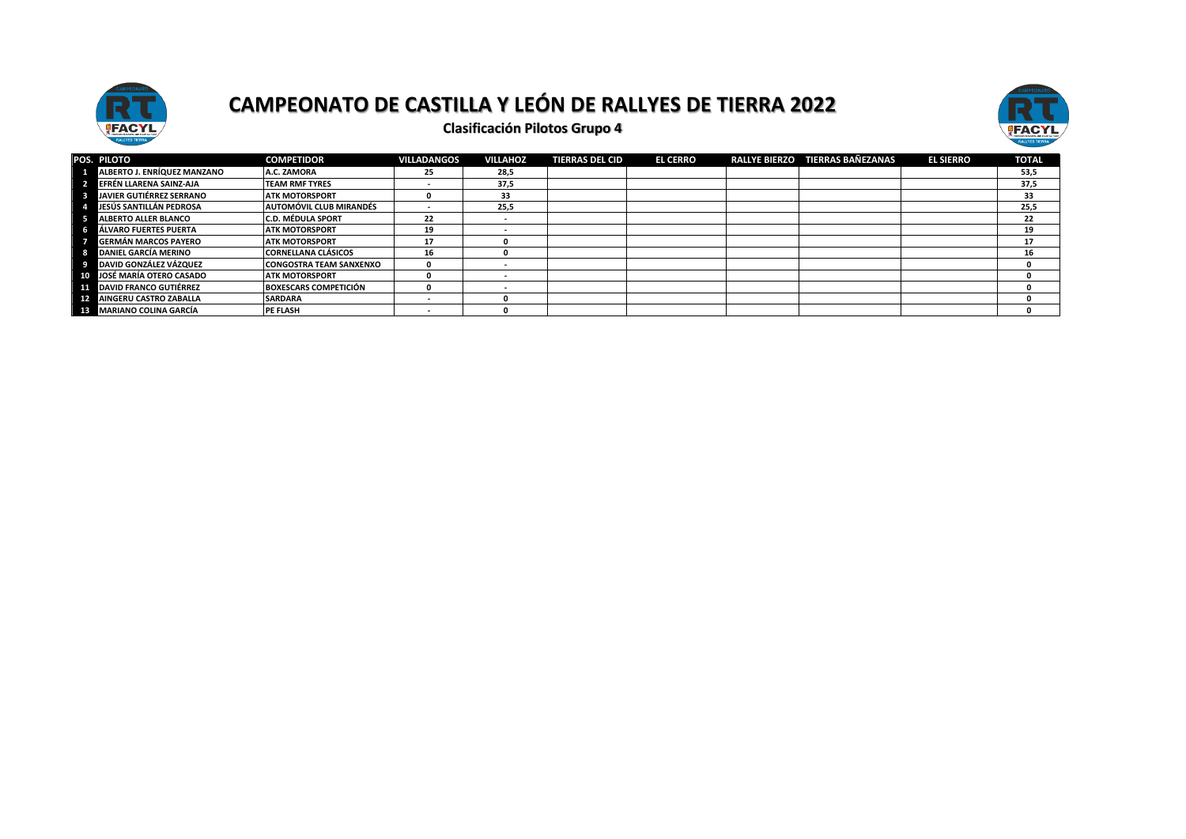



| POS. PILOTO                     | <b>COMPETIDOR</b>              | VILLADANGOS | <b>VILLAHOZ</b> | <b>TIERRAS DEL CID</b> | <b>EL CERRO</b> | <b>RALLYE BIERZO</b> | TIERRAS BAÑEZANAS | <b>EL SIERRO</b> | <b>TOTAL</b> |
|---------------------------------|--------------------------------|-------------|-----------------|------------------------|-----------------|----------------------|-------------------|------------------|--------------|
| ALBERTO J. ENRÍQUEZ MANZANO     | A.C. ZAMORA                    | 25          | 28,5            |                        |                 |                      |                   |                  | 53,5         |
| EFRÉN LLARENA SAINZ-AJA         | <b>TEAM RMF TYRES</b>          |             | 37,5            |                        |                 |                      |                   |                  | 37,5         |
| <b>JAVIER GUTIÉRREZ SERRANO</b> | <b>ATK MOTORSPORT</b>          |             | 33              |                        |                 |                      |                   |                  | 33           |
| JESÚS SANTILLÁN PEDROSA         | AUTOMÓVIL CLUB MIRANDÉS        |             | 25,5            |                        |                 |                      |                   |                  | 25.5         |
| <b>ALBERTO ALLER BLANCO</b>     | <b>C.D. MÉDULA SPORT</b>       | 22          |                 |                        |                 |                      |                   |                  | 22           |
| ÁLVARO FUERTES PUERTA           | <b>ATK MOTORSPORT</b>          | 19          |                 |                        |                 |                      |                   |                  | 19           |
| <b>GERMÁN MARCOS PAYERO</b>     | <b>ATK MOTORSPORT</b>          | 17          |                 |                        |                 |                      |                   |                  | 17           |
| DANIEL GARCÍA MERINO            | <b>CORNELLANA CLÁSICOS</b>     | 16          |                 |                        |                 |                      |                   |                  | 16           |
| DAVID GONZÁLEZ VÁZQUEZ          | <b>CONGOSTRA TEAM SANXENXO</b> |             |                 |                        |                 |                      |                   |                  |              |
| 10 JOSÉ MARÍA OTERO CASADO      | <b>ATK MOTORSPORT</b>          |             |                 |                        |                 |                      |                   |                  |              |
| <b>DAVID FRANCO GUTIÉRREZ</b>   | <b>BOXESCARS COMPETICIÓN</b>   |             |                 |                        |                 |                      |                   |                  |              |
| <b>AINGERU CASTRO ZABALLA</b>   | <b>SARDARA</b>                 |             |                 |                        |                 |                      |                   |                  |              |
| <b>MARIANO COLINA GARCÍA</b>    | PE FLASH                       |             |                 |                        |                 |                      |                   |                  |              |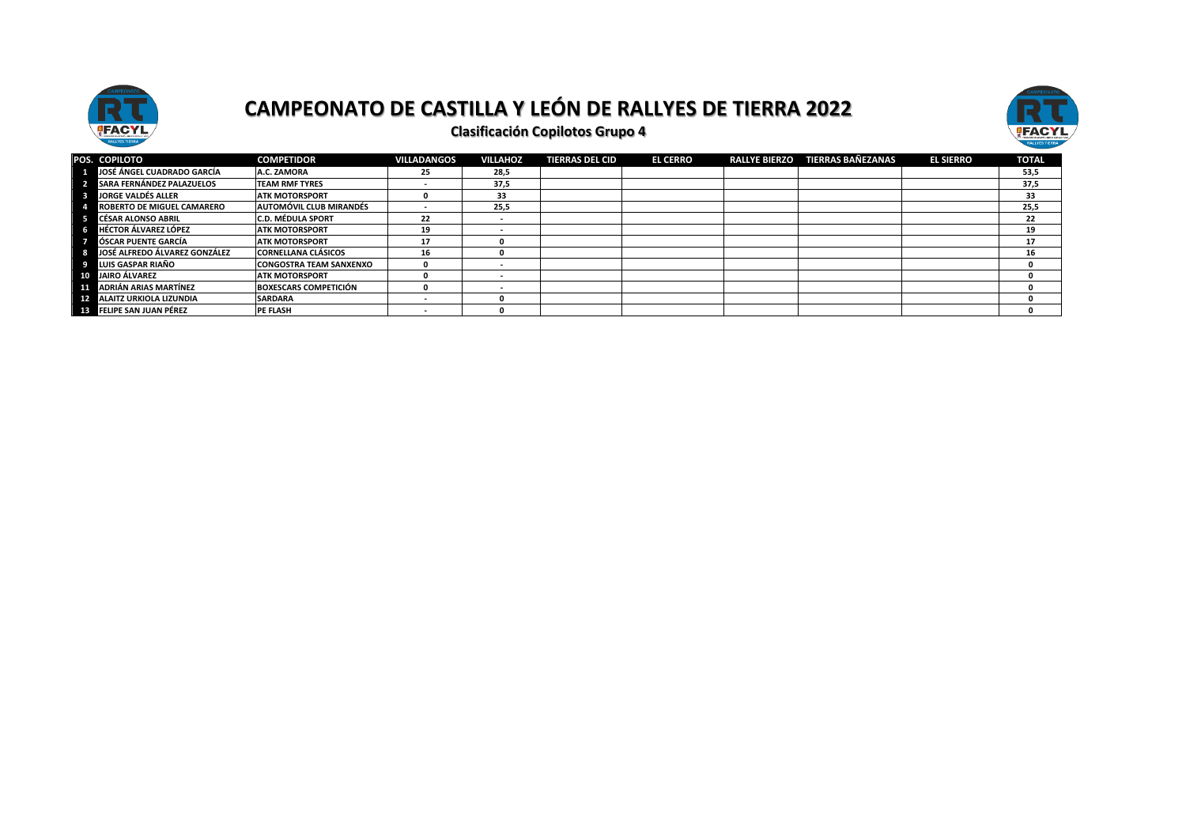



| POS. COPILOTO                     | <b>COMPETIDOR</b>              | <b>VILLADANGOS</b> | <b>VILLAHOZ</b>          | <b>TIERRAS DEL CID</b> | <b>EL CERRO</b> | <b>RALLYE BIERZO</b> | <b>TIERRAS BAÑEZANAS</b> | <b>EL SIERRO</b> | <b>TOTAL</b> |
|-----------------------------------|--------------------------------|--------------------|--------------------------|------------------------|-----------------|----------------------|--------------------------|------------------|--------------|
| JOSÉ ÁNGEL CUADRADO GARCÍA        | A.C. ZAMORA                    | 25                 | 28,5                     |                        |                 |                      |                          |                  | 53,5         |
| SARA FERNÁNDEZ PALAZUELOS         | <b>TEAM RMF TYRES</b>          | . .                | 37,5                     |                        |                 |                      |                          |                  | 37,5         |
| <b>LJORGE VALDÉS ALLER</b>        | <b>ATK MOTORSPORT</b>          |                    | 33                       |                        |                 |                      |                          |                  | 33           |
| <b>ROBERTO DE MIGUEL CAMARERO</b> | <b>AUTOMÓVIL CLUB MIRANDÉS</b> |                    | 25,5                     |                        |                 |                      |                          |                  | 25.5         |
| <b>CÉSAR ALONSO ABRIL</b>         | <b>C.D. MÉDULA SPORT</b>       | 22                 | $\overline{\phantom{a}}$ |                        |                 |                      |                          |                  | 22           |
| <b>HÉCTOR ÁLVAREZ LÓPEZ</b>       | <b>ATK MOTORSPORT</b>          | 19                 |                          |                        |                 |                      |                          |                  | 19           |
| LÓSCAR PUENTE GARCÍA              | <b>ATK MOTORSPORT</b>          | 17                 |                          |                        |                 |                      |                          |                  | 17           |
| JOSÉ ALFREDO ÁLVAREZ GONZÁLEZ     | <b>CORNELLANA CLÁSICOS</b>     | 16                 |                          |                        |                 |                      |                          |                  | 16           |
| LUIS GASPAR RIAÑO                 | <b>CONGOSTRA TEAM SANXENXO</b> |                    | $\overline{\phantom{a}}$ |                        |                 |                      |                          |                  |              |
| 10 JAIRO ÁLVAREZ                  | <b>ATK MOTORSPORT</b>          |                    |                          |                        |                 |                      |                          |                  |              |
| ADRIÁN ARIAS MARTÍNEZ             | <b>BOXESCARS COMPETICIÓN</b>   |                    |                          |                        |                 |                      |                          |                  |              |
| <b>ALAITZ URKIOLA LIZUNDIA</b>    | <b>SARDARA</b>                 | . .                |                          |                        |                 |                      |                          |                  |              |
| <b>FELIPE SAN JUAN PÉREZ</b>      | <b>PE FLASH</b>                | . .                |                          |                        |                 |                      |                          |                  |              |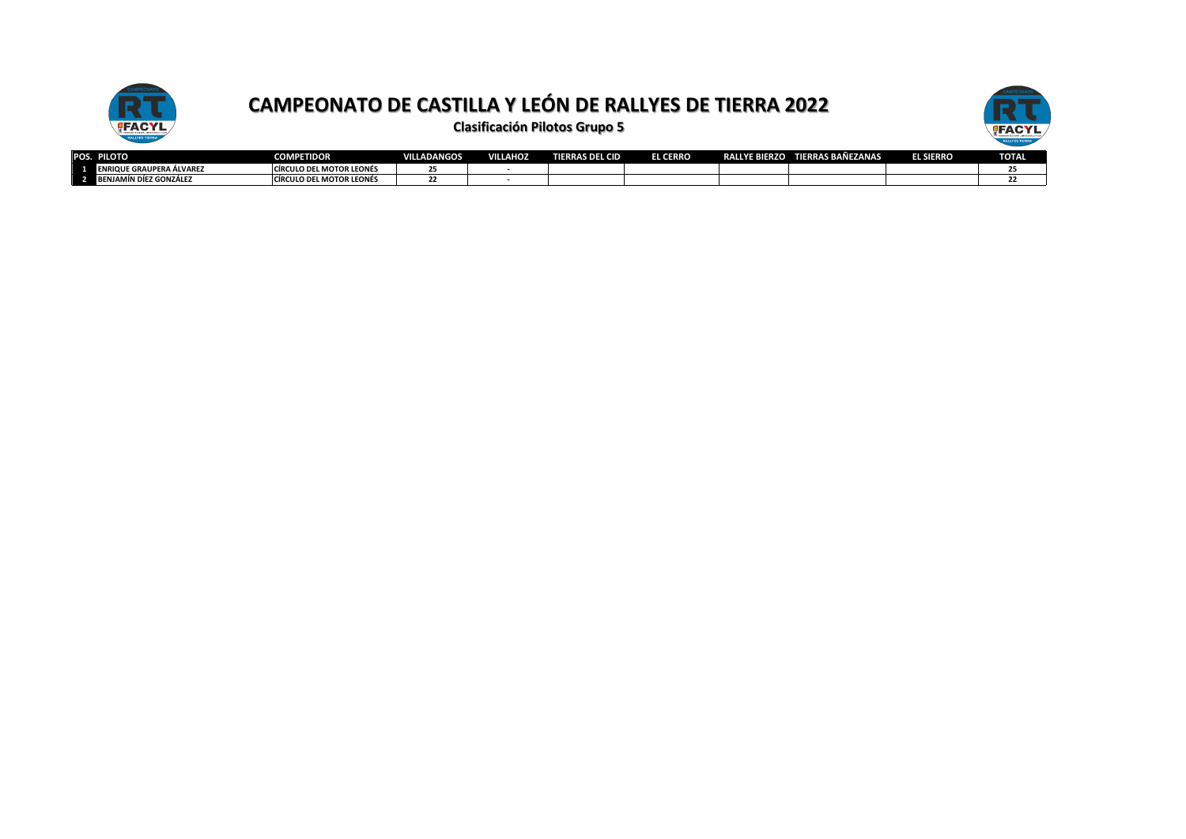



|              | POS. PILOTO                     | <b>COMPETIDOR</b>               | <b>VILLADANGOS</b> | <b>VILLAHOZ</b> | <b>TIERRAS DEL CID</b> | <b>CERRO</b><br>EL ( | <b>YE BIERZO</b><br>RALI | <b>TIERRAS BAÑEZANAS</b> | <b>EL SIERRO</b> | <b>TOTAL</b> |
|--------------|---------------------------------|---------------------------------|--------------------|-----------------|------------------------|----------------------|--------------------------|--------------------------|------------------|--------------|
| <sup>1</sup> | <b>ENRIQUE GRAUPERA ÁLVAREZ</b> | <b>CÍRCULO DEL MOTOR LEONÉS</b> |                    |                 |                        |                      |                          |                          |                  |              |
| - 21         | <b>BENJAMÍN DÍEZ GONZÁLEZ</b>   | <b>CIRCULO DEL MOTOR LEONÉS</b> |                    |                 |                        |                      |                          |                          |                  |              |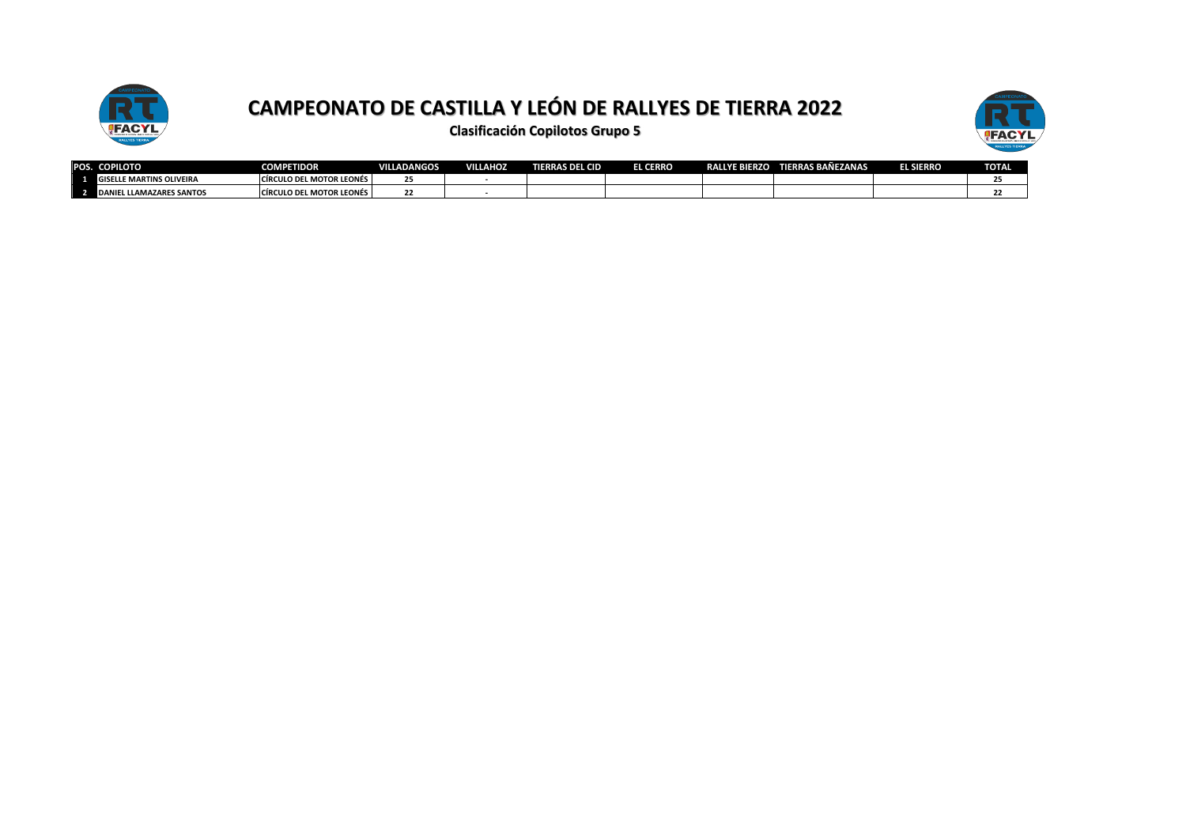



| POS.                     | <b>COPILOTO</b>                             | <b>COMPETIDOR</b>               | <b>VILLADANGOS</b>  | <b>VILLAHOZ</b> | <b>ERRAS DEL CID</b> | <b>EL CERRO</b> | <b>RALLYE BIERZO</b> | <b>TIERRAS BAÑEZANAS</b> | EL SIERRO | <b>TOTAL</b> |
|--------------------------|---------------------------------------------|---------------------------------|---------------------|-----------------|----------------------|-----------------|----------------------|--------------------------|-----------|--------------|
| - 1                      | GISELLE MARTINS OLIVEIRA                    | <b>CIRCULO DEL MOTOR LEONÉS</b> | $\sim$ $\sim$<br>25 |                 |                      |                 |                      |                          |           |              |
| $\overline{\phantom{0}}$ | <b>LLLAMAZARES SANTOS</b><br><b>NDANIEL</b> | <b>CIRCULO DEL MOTOR LEONÉS</b> | <br>"               |                 |                      |                 |                      |                          |           |              |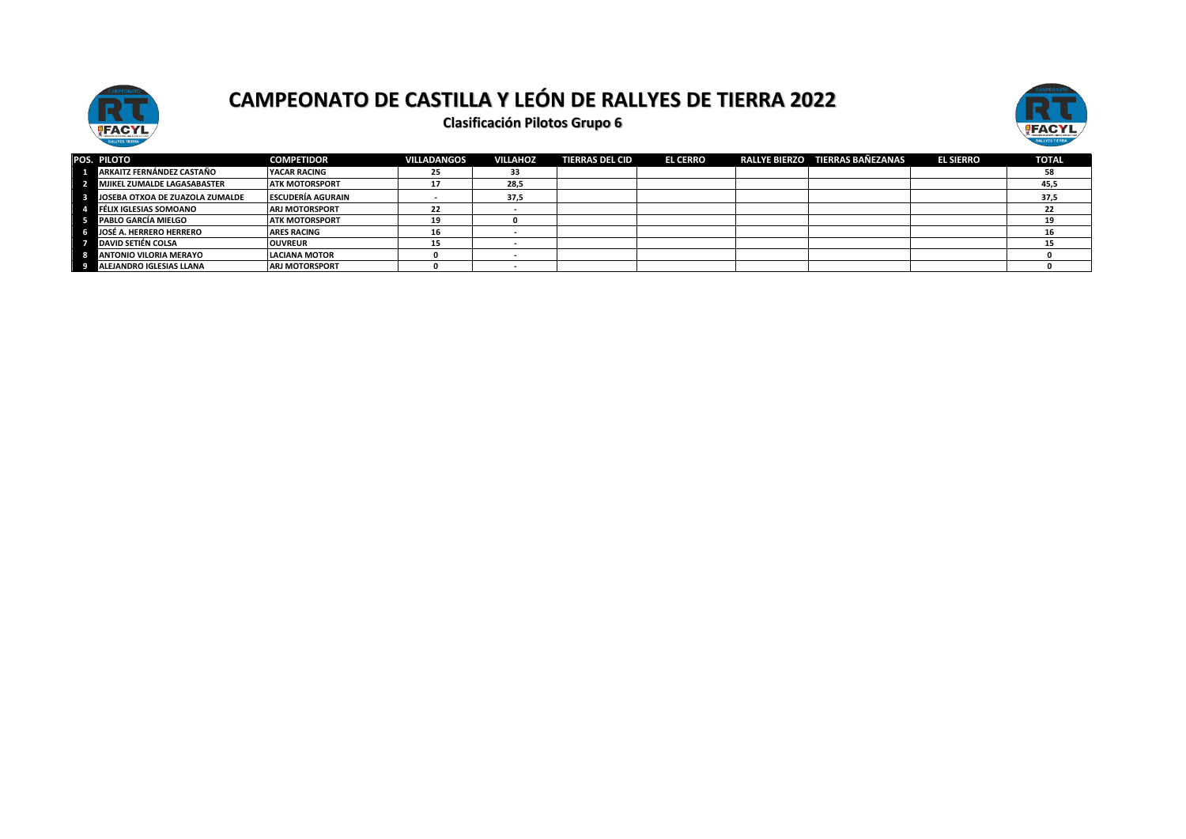



| POS. PILOTO                        | <b>COMPETIDOR</b>        | <b>VILLADANGOS</b> | <b>VILLAHOZ</b> | <b>TIERRAS DEL CID</b> | <b>EL CERRO</b> | RALLYE BIERZO TIERRAS BAÑEZANAS | <b>EL SIERRO</b> | <b>TOTAL</b> |
|------------------------------------|--------------------------|--------------------|-----------------|------------------------|-----------------|---------------------------------|------------------|--------------|
| ARKAITZ FERNÁNDEZ CASTAÑO          | YACAR RACING             | 25                 | 33              |                        |                 |                                 |                  | 58           |
| <b>MJIKEL ZUMALDE LAGASABASTER</b> | <b>ATK MOTORSPORT</b>    |                    | 28,5            |                        |                 |                                 |                  | 45,5         |
| JOSEBA OTXOA DE ZUAZOLA ZUMALDE    | <b>ESCUDERÍA AGURAIN</b> |                    | 37,5            |                        |                 |                                 |                  | 37,5         |
| <b>FÉLIX IGLESIAS SOMOANO</b>      | <b>ARJ MOTORSPORT</b>    | 22                 |                 |                        |                 |                                 |                  |              |
| <b>PABLO GARCÍA MIELGO</b>         | <b>ATK MOTORSPORT</b>    |                    |                 |                        |                 |                                 |                  |              |
| JOSÉ A. HERRERO HERRERO            | <b>ARES RACING</b>       | 16                 |                 |                        |                 |                                 |                  |              |
| <b>DAVID SETIÉN COLSA</b>          | <b>OUVREUR</b>           | 15                 |                 |                        |                 |                                 |                  |              |
| <b>ANTONIO VILORIA MERAYO</b>      | <b>LACIANA MOTOR</b>     |                    |                 |                        |                 |                                 |                  |              |
| <b>ALEJANDRO IGLESIAS LLANA</b>    | <b>ARJ MOTORSPORT</b>    |                    |                 |                        |                 |                                 |                  |              |